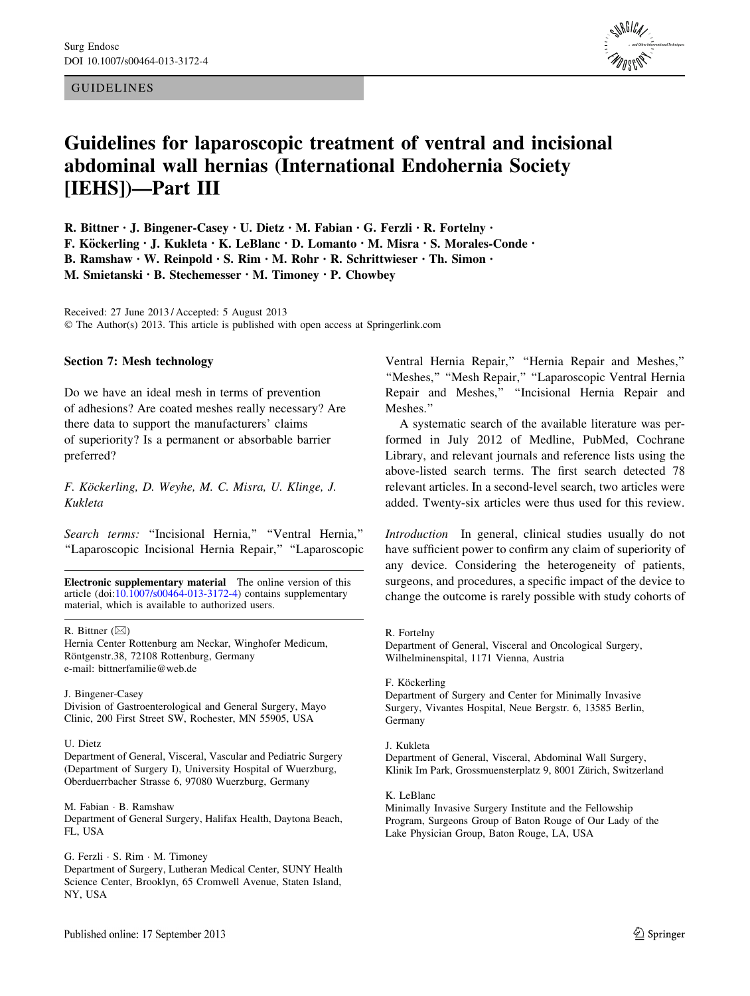## GUIDELINES



# Guidelines for laparoscopic treatment of ventral and incisional abdominal wall hernias (International Endohernia Society [IEHS])—Part III

R. Bittner • J. Bingener-Casey • U. Dietz • M. Fabian • G. Ferzli • R. Fortelny • F. Köckerling • J. Kukleta • K. LeBlanc • D. Lomanto • M. Misra • S. Morales-Conde •

B. Ramshaw • W. Reinpold • S. Rim • M. Rohr • R. Schrittwieser • Th. Simon •

M. Smietanski • B. Stechemesser • M. Timoney • P. Chowbey

Received: 27 June 2013 / Accepted: 5 August 2013 © The Author(s) 2013. This article is published with open access at Springerlink.com

## Section 7: Mesh technology

Do we have an ideal mesh in terms of prevention of adhesions? Are coated meshes really necessary? Are there data to support the manufacturers' claims of superiority? Is a permanent or absorbable barrier preferred?

F. Köckerling, D. Weyhe, M. C. Misra, U. Klinge, J. Kukleta

Search terms: "Incisional Hernia," "Ventral Hernia," ''Laparoscopic Incisional Hernia Repair,'' ''Laparoscopic

Electronic supplementary material The online version of this article (doi:[10.1007/s00464-013-3172-4\)](http://dx.doi.org/10.1007/s00464-013-3172-4) contains supplementary material, which is available to authorized users.

#### R. Bittner  $(\boxtimes)$

Hernia Center Rottenburg am Neckar, Winghofer Medicum, Röntgenstr.38, 72108 Rottenburg, Germany e-mail: bittnerfamilie@web.de

#### J. Bingener-Casey

Division of Gastroenterological and General Surgery, Mayo Clinic, 200 First Street SW, Rochester, MN 55905, USA

#### U. Dietz

Department of General, Visceral, Vascular and Pediatric Surgery (Department of Surgery I), University Hospital of Wuerzburg, Oberduerrbacher Strasse 6, 97080 Wuerzburg, Germany

M. Fabian - B. Ramshaw Department of General Surgery, Halifax Health, Daytona Beach, FL, USA

G. Ferzli - S. Rim - M. Timoney Department of Surgery, Lutheran Medical Center, SUNY Health Science Center, Brooklyn, 65 Cromwell Avenue, Staten Island, NY, USA

Ventral Hernia Repair,'' ''Hernia Repair and Meshes,'' ''Meshes,'' ''Mesh Repair,'' ''Laparoscopic Ventral Hernia Repair and Meshes,'' ''Incisional Hernia Repair and Meshes.''

A systematic search of the available literature was performed in July 2012 of Medline, PubMed, Cochrane Library, and relevant journals and reference lists using the above-listed search terms. The first search detected 78 relevant articles. In a second-level search, two articles were added. Twenty-six articles were thus used for this review.

Introduction In general, clinical studies usually do not have sufficient power to confirm any claim of superiority of any device. Considering the heterogeneity of patients, surgeons, and procedures, a specific impact of the device to change the outcome is rarely possible with study cohorts of

R. Fortelny Department of General, Visceral and Oncological Surgery, Wilhelminenspital, 1171 Vienna, Austria

F. Köckerling Department of Surgery and Center for Minimally Invasive Surgery, Vivantes Hospital, Neue Bergstr. 6, 13585 Berlin, Germany

#### J. Kukleta

Department of General, Visceral, Abdominal Wall Surgery, Klinik Im Park, Grossmuensterplatz 9, 8001 Zürich, Switzerland

#### K. LeBlanc

Minimally Invasive Surgery Institute and the Fellowship Program, Surgeons Group of Baton Rouge of Our Lady of the Lake Physician Group, Baton Rouge, LA, USA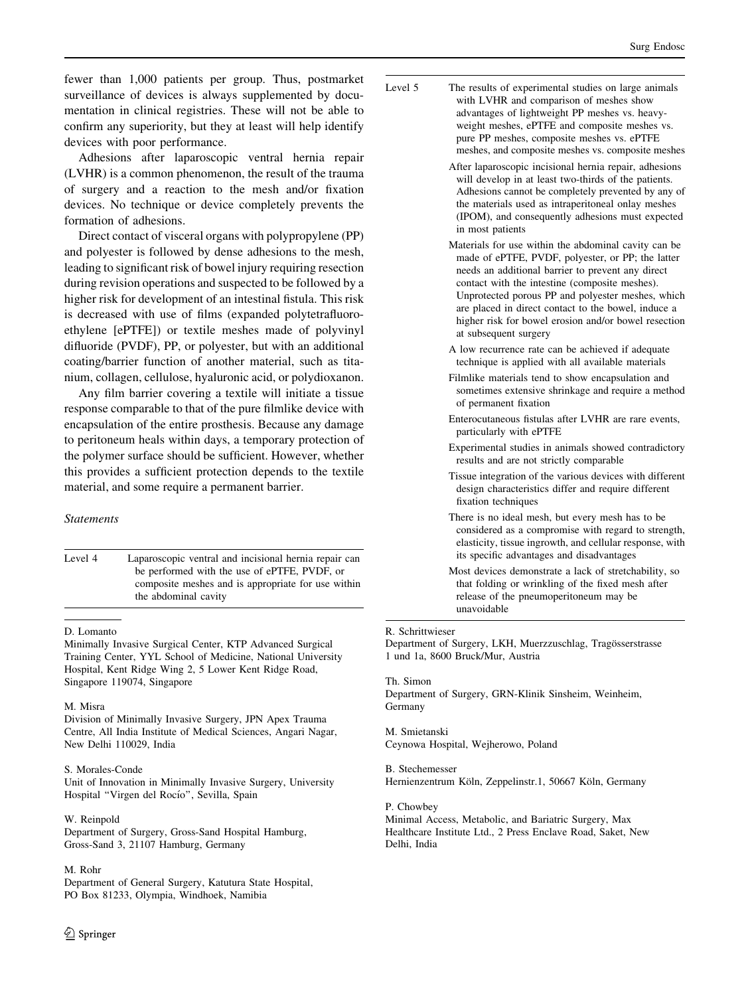fewer than 1,000 patients per group. Thus, postmarket surveillance of devices is always supplemented by documentation in clinical registries. These will not be able to confirm any superiority, but they at least will help identify devices with poor performance.

Adhesions after laparoscopic ventral hernia repair (LVHR) is a common phenomenon, the result of the trauma of surgery and a reaction to the mesh and/or fixation devices. No technique or device completely prevents the formation of adhesions.

Direct contact of visceral organs with polypropylene (PP) and polyester is followed by dense adhesions to the mesh, leading to significant risk of bowel injury requiring resection during revision operations and suspected to be followed by a higher risk for development of an intestinal fistula. This risk is decreased with use of films (expanded polytetrafluoroethylene [ePTFE]) or textile meshes made of polyvinyl difluoride (PVDF), PP, or polyester, but with an additional coating/barrier function of another material, such as titanium, collagen, cellulose, hyaluronic acid, or polydioxanon.

Any film barrier covering a textile will initiate a tissue response comparable to that of the pure filmlike device with encapsulation of the entire prosthesis. Because any damage to peritoneum heals within days, a temporary protection of the polymer surface should be sufficient. However, whether this provides a sufficient protection depends to the textile material, and some require a permanent barrier.

## Statements

Level 4 Laparoscopic ventral and incisional hernia repair can be performed with the use of ePTFE, PVDF, or composite meshes and is appropriate for use within the abdominal cavity

#### D. Lomanto

Minimally Invasive Surgical Center, KTP Advanced Surgical Training Center, YYL School of Medicine, National University Hospital, Kent Ridge Wing 2, 5 Lower Kent Ridge Road, Singapore 119074, Singapore

#### M. Misra

Division of Minimally Invasive Surgery, JPN Apex Trauma Centre, All India Institute of Medical Sciences, Angari Nagar, New Delhi 110029, India

#### S. Morales-Conde

Unit of Innovation in Minimally Invasive Surgery, University Hospital "Virgen del Rocío", Sevilla, Spain

#### W. Reinpold

Department of Surgery, Gross-Sand Hospital Hamburg, Gross-Sand 3, 21107 Hamburg, Germany

## M. Rohr

Department of General Surgery, Katutura State Hospital, PO Box 81233, Olympia, Windhoek, Namibia

- Level 5 The results of experimental studies on large animals with LVHR and comparison of meshes show advantages of lightweight PP meshes vs. heavyweight meshes, ePTFE and composite meshes vs. pure PP meshes, composite meshes vs. ePTFE meshes, and composite meshes vs. composite meshes
	- After laparoscopic incisional hernia repair, adhesions will develop in at least two-thirds of the patients. Adhesions cannot be completely prevented by any of the materials used as intraperitoneal onlay meshes (IPOM), and consequently adhesions must expected in most patients
	- Materials for use within the abdominal cavity can be made of ePTFE, PVDF, polyester, or PP; the latter needs an additional barrier to prevent any direct contact with the intestine (composite meshes). Unprotected porous PP and polyester meshes, which are placed in direct contact to the bowel, induce a higher risk for bowel erosion and/or bowel resection at subsequent surgery
	- A low recurrence rate can be achieved if adequate technique is applied with all available materials
	- Filmlike materials tend to show encapsulation and sometimes extensive shrinkage and require a method of permanent fixation
	- Enterocutaneous fistulas after LVHR are rare events, particularly with ePTFE
	- Experimental studies in animals showed contradictory results and are not strictly comparable
	- Tissue integration of the various devices with different design characteristics differ and require different fixation techniques
	- There is no ideal mesh, but every mesh has to be considered as a compromise with regard to strength, elasticity, tissue ingrowth, and cellular response, with its specific advantages and disadvantages

Most devices demonstrate a lack of stretchability, so that folding or wrinkling of the fixed mesh after release of the pneumoperitoneum may be unavoidable

#### R. Schrittwieser

Department of Surgery, LKH, Muerzzuschlag, Tragösserstrasse 1 und 1a, 8600 Bruck/Mur, Austria

## Th. Simon

Department of Surgery, GRN-Klinik Sinsheim, Weinheim, Germany

#### M. Smietanski Ceynowa Hospital, Wejherowo, Poland

#### B. Stechemesser

Hernienzentrum Köln, Zeppelinstr.1, 50667 Köln, Germany

#### P. Chowbey

Minimal Access, Metabolic, and Bariatric Surgery, Max Healthcare Institute Ltd., 2 Press Enclave Road, Saket, New Delhi, India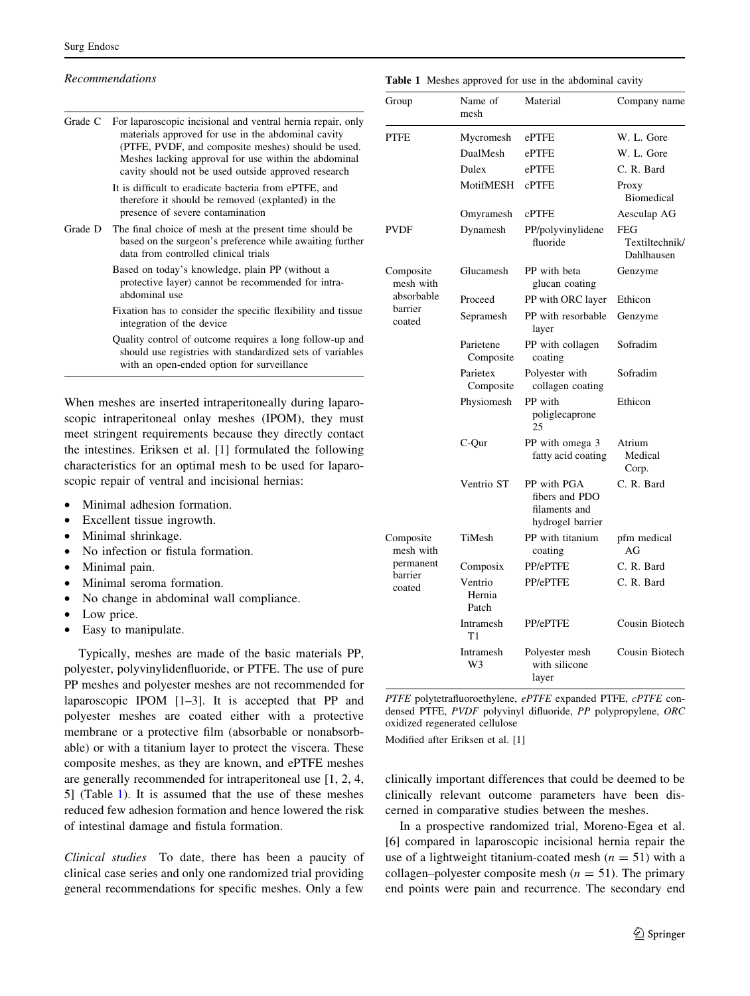#### Recommendations

| Grade C | For laparoscopic incisional and ventral hernia repair, only<br>materials approved for use in the abdominal cavity<br>(PTFE, PVDF, and composite meshes) should be used.<br>Meshes lacking approval for use within the abdominal<br>cavity should not be used outside approved research |
|---------|----------------------------------------------------------------------------------------------------------------------------------------------------------------------------------------------------------------------------------------------------------------------------------------|
|         | It is difficult to eradicate bacteria from ePTFE, and<br>therefore it should be removed (explanted) in the<br>presence of severe contamination                                                                                                                                         |
| Grade D | The final choice of mesh at the present time should be<br>based on the surgeon's preference while awaiting further<br>data from controlled clinical trials                                                                                                                             |
|         | Based on today's knowledge, plain PP (without a<br>protective layer) cannot be recommended for intra-<br>abdominal use                                                                                                                                                                 |
|         | Fixation has to consider the specific flexibility and tissue<br>integration of the device                                                                                                                                                                                              |
|         | Quality control of outcome requires a long follow-up and<br>should use registries with standardized sets of variables<br>with an open-ended option for surveillance                                                                                                                    |

When meshes are inserted intraperitoneally during laparoscopic intraperitoneal onlay meshes (IPOM), they must meet stringent requirements because they directly contact the intestines. Eriksen et al. [1] formulated the following characteristics for an optimal mesh to be used for laparoscopic repair of ventral and incisional hernias:

- Minimal adhesion formation.
- Excellent tissue ingrowth.
- Minimal shrinkage.
- No infection or fistula formation.
- Minimal pain.
- Minimal seroma formation.
- No change in abdominal wall compliance.
- Low price.
- Easy to manipulate.

Typically, meshes are made of the basic materials PP, polyester, polyvinylidenfluoride, or PTFE. The use of pure PP meshes and polyester meshes are not recommended for laparoscopic IPOM [1–3]. It is accepted that PP and polyester meshes are coated either with a protective membrane or a protective film (absorbable or nonabsorbable) or with a titanium layer to protect the viscera. These composite meshes, as they are known, and ePTFE meshes are generally recommended for intraperitoneal use [1, 2, 4, 5] (Table 1). It is assumed that the use of these meshes reduced few adhesion formation and hence lowered the risk of intestinal damage and fistula formation.

Clinical studies To date, there has been a paucity of clinical case series and only one randomized trial providing general recommendations for specific meshes. Only a few

|  |  |  |  |  |  | Table 1 Meshes approved for use in the abdominal cavity |  |
|--|--|--|--|--|--|---------------------------------------------------------|--|
|--|--|--|--|--|--|---------------------------------------------------------|--|

| Group                  | Name of<br>mesh            | Material                                                           | Company name                               |  |
|------------------------|----------------------------|--------------------------------------------------------------------|--------------------------------------------|--|
| <b>PTFE</b>            | Mycromesh                  | ePTFE                                                              | W. L. Gore                                 |  |
|                        | DualMesh                   | ePTFE                                                              | W. L. Gore                                 |  |
|                        | Dulex                      | ePTFE                                                              | C. R. Bard                                 |  |
|                        | <b>MotifMESH</b>           | cPTFE                                                              | Proxy<br>Biomedical                        |  |
|                        | Omyramesh                  | cPTFE                                                              | Aesculap AG                                |  |
| <b>PVDF</b>            | Dynamesh                   | PP/polyvinylidene<br>fluoride                                      | <b>FEG</b><br>Textiltechnik/<br>Dahlhausen |  |
| Composite<br>mesh with | Glucamesh                  | PP with beta<br>glucan coating                                     | Genzyme                                    |  |
| absorbable             | Proceed                    | PP with ORC layer                                                  | Ethicon                                    |  |
| barrier<br>coated      | Sepramesh                  | PP with resorbable<br>layer                                        | Genzyme                                    |  |
|                        | Parietene<br>Composite     | PP with collagen<br>coating                                        | Sofradim                                   |  |
|                        | Parietex<br>Composite      | Polyester with<br>collagen coating                                 | Sofradim                                   |  |
|                        | Physiomesh                 | PP with<br>poliglecaprone<br>25                                    | Ethicon                                    |  |
|                        | C-Qur                      | PP with omega 3<br>fatty acid coating                              | Atrium<br>Medical<br>Corp.                 |  |
|                        | Ventrio ST                 | PP with PGA<br>fibers and PDO<br>filaments and<br>hydrogel barrier | C. R. Bard                                 |  |
| Composite<br>mesh with | TiMesh                     | PP with titanium<br>coating                                        | pfm medical<br>AG                          |  |
| permanent              | Composix                   | PP/ePTFE                                                           | C. R. Bard                                 |  |
| barrier<br>coated      | Ventrio<br>Hernia<br>Patch | PP/ePTFE                                                           | C. R. Bard                                 |  |
|                        | Intramesh<br>Τ1            | PP/ePTFE                                                           | Cousin Biotech                             |  |
|                        | Intramesh<br>W3            | Polyester mesh<br>with silicone<br>layer                           | Cousin Biotech                             |  |

PTFE polytetrafluoroethylene, ePTFE expanded PTFE, cPTFE condensed PTFE, PVDF polyvinyl difluoride, PP polypropylene, ORC oxidized regenerated cellulose

Modified after Eriksen et al. [1]

clinically important differences that could be deemed to be clinically relevant outcome parameters have been discerned in comparative studies between the meshes.

In a prospective randomized trial, Moreno-Egea et al. [6] compared in laparoscopic incisional hernia repair the use of a lightweight titanium-coated mesh  $(n = 51)$  with a collagen–polyester composite mesh ( $n = 51$ ). The primary end points were pain and recurrence. The secondary end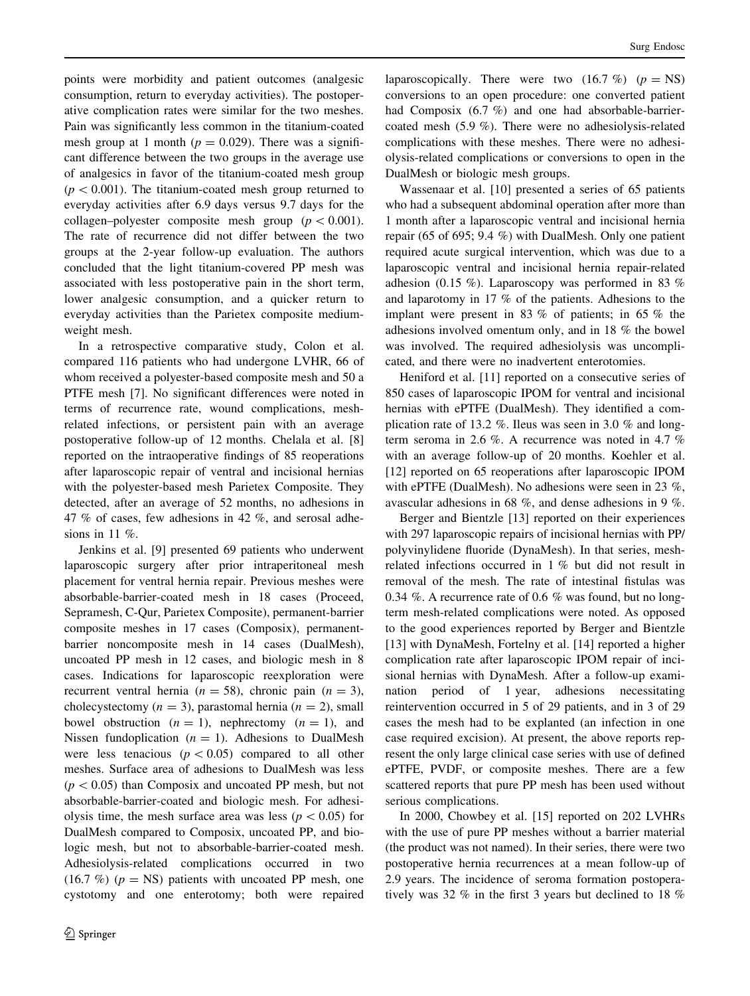points were morbidity and patient outcomes (analgesic consumption, return to everyday activities). The postoperative complication rates were similar for the two meshes. Pain was significantly less common in the titanium-coated mesh group at 1 month ( $p = 0.029$ ). There was a significant difference between the two groups in the average use of analgesics in favor of the titanium-coated mesh group  $(p<0.001)$ . The titanium-coated mesh group returned to everyday activities after 6.9 days versus 9.7 days for the collagen–polyester composite mesh group ( $p < 0.001$ ). The rate of recurrence did not differ between the two groups at the 2-year follow-up evaluation. The authors concluded that the light titanium-covered PP mesh was associated with less postoperative pain in the short term, lower analgesic consumption, and a quicker return to everyday activities than the Parietex composite mediumweight mesh.

In a retrospective comparative study, Colon et al. compared 116 patients who had undergone LVHR, 66 of whom received a polyester-based composite mesh and 50 a PTFE mesh [7]. No significant differences were noted in terms of recurrence rate, wound complications, meshrelated infections, or persistent pain with an average postoperative follow-up of 12 months. Chelala et al. [8] reported on the intraoperative findings of 85 reoperations after laparoscopic repair of ventral and incisional hernias with the polyester-based mesh Parietex Composite. They detected, after an average of 52 months, no adhesions in 47 % of cases, few adhesions in 42 %, and serosal adhesions in 11 %.

Jenkins et al. [9] presented 69 patients who underwent laparoscopic surgery after prior intraperitoneal mesh placement for ventral hernia repair. Previous meshes were absorbable-barrier-coated mesh in 18 cases (Proceed, Sepramesh, C-Qur, Parietex Composite), permanent-barrier composite meshes in 17 cases (Composix), permanentbarrier noncomposite mesh in 14 cases (DualMesh), uncoated PP mesh in 12 cases, and biologic mesh in 8 cases. Indications for laparoscopic reexploration were recurrent ventral hernia ( $n = 58$ ), chronic pain ( $n = 3$ ), cholecystectomy ( $n = 3$ ), parastomal hernia ( $n = 2$ ), small bowel obstruction  $(n = 1)$ , nephrectomy  $(n = 1)$ , and Nissen fundoplication  $(n = 1)$ . Adhesions to DualMesh were less tenacious ( $p < 0.05$ ) compared to all other meshes. Surface area of adhesions to DualMesh was less  $(p<0.05)$  than Composix and uncoated PP mesh, but not absorbable-barrier-coated and biologic mesh. For adhesiolysis time, the mesh surface area was less ( $p < 0.05$ ) for DualMesh compared to Composix, uncoated PP, and biologic mesh, but not to absorbable-barrier-coated mesh. Adhesiolysis-related complications occurred in two (16.7 %) ( $p = NS$ ) patients with uncoated PP mesh, one cystotomy and one enterotomy; both were repaired laparoscopically. There were two  $(16.7 \%)$   $(p = NS)$ conversions to an open procedure: one converted patient had Composix (6.7 %) and one had absorbable-barriercoated mesh (5.9 %). There were no adhesiolysis-related complications with these meshes. There were no adhesiolysis-related complications or conversions to open in the DualMesh or biologic mesh groups.

Wassenaar et al. [10] presented a series of 65 patients who had a subsequent abdominal operation after more than 1 month after a laparoscopic ventral and incisional hernia repair (65 of 695; 9.4 %) with DualMesh. Only one patient required acute surgical intervention, which was due to a laparoscopic ventral and incisional hernia repair-related adhesion (0.15 %). Laparoscopy was performed in 83 % and laparotomy in 17 % of the patients. Adhesions to the implant were present in 83 % of patients; in 65 % the adhesions involved omentum only, and in 18 % the bowel was involved. The required adhesiolysis was uncomplicated, and there were no inadvertent enterotomies.

Heniford et al. [11] reported on a consecutive series of 850 cases of laparoscopic IPOM for ventral and incisional hernias with ePTFE (DualMesh). They identified a complication rate of 13.2 %. Ileus was seen in 3.0 % and longterm seroma in 2.6 %. A recurrence was noted in 4.7 % with an average follow-up of 20 months. Koehler et al. [12] reported on 65 reoperations after laparoscopic IPOM with ePTFE (DualMesh). No adhesions were seen in 23 %, avascular adhesions in 68 %, and dense adhesions in 9 %.

Berger and Bientzle [13] reported on their experiences with 297 laparoscopic repairs of incisional hernias with PP/ polyvinylidene fluoride (DynaMesh). In that series, meshrelated infections occurred in 1 % but did not result in removal of the mesh. The rate of intestinal fistulas was 0.34 %. A recurrence rate of 0.6 % was found, but no longterm mesh-related complications were noted. As opposed to the good experiences reported by Berger and Bientzle [13] with DynaMesh, Fortelny et al. [14] reported a higher complication rate after laparoscopic IPOM repair of incisional hernias with DynaMesh. After a follow-up examination period of 1 year, adhesions necessitating reintervention occurred in 5 of 29 patients, and in 3 of 29 cases the mesh had to be explanted (an infection in one case required excision). At present, the above reports represent the only large clinical case series with use of defined ePTFE, PVDF, or composite meshes. There are a few scattered reports that pure PP mesh has been used without serious complications.

In 2000, Chowbey et al. [15] reported on 202 LVHRs with the use of pure PP meshes without a barrier material (the product was not named). In their series, there were two postoperative hernia recurrences at a mean follow-up of 2.9 years. The incidence of seroma formation postoperatively was 32 % in the first 3 years but declined to 18 %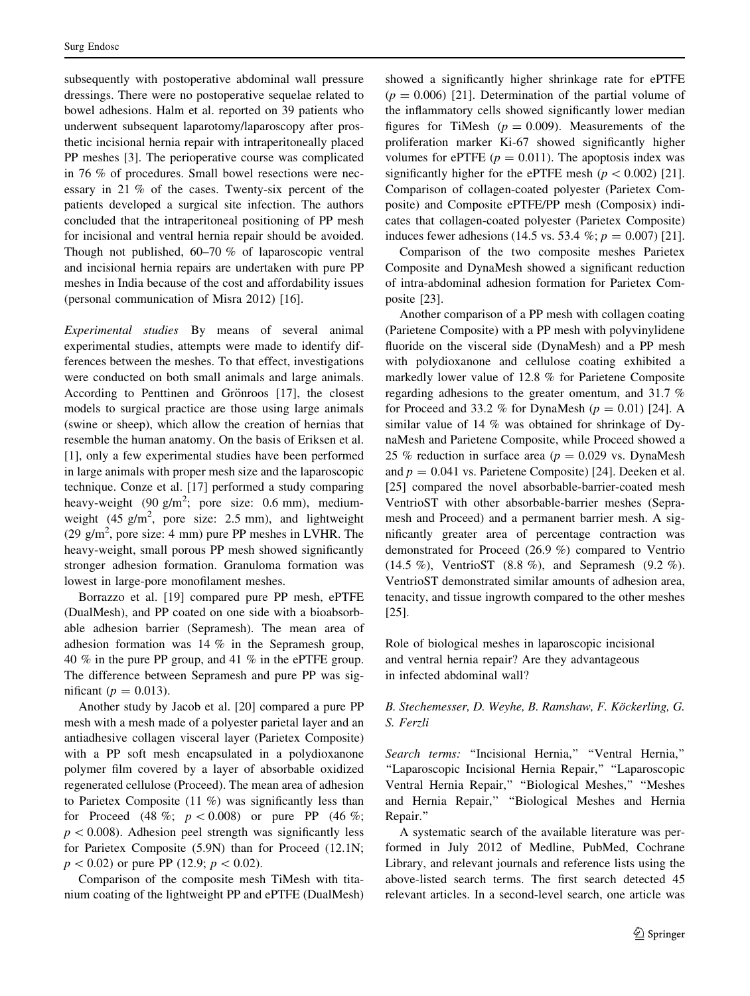subsequently with postoperative abdominal wall pressure dressings. There were no postoperative sequelae related to bowel adhesions. Halm et al. reported on 39 patients who underwent subsequent laparotomy/laparoscopy after prosthetic incisional hernia repair with intraperitoneally placed PP meshes [3]. The perioperative course was complicated in 76 % of procedures. Small bowel resections were necessary in 21 % of the cases. Twenty-six percent of the patients developed a surgical site infection. The authors concluded that the intraperitoneal positioning of PP mesh for incisional and ventral hernia repair should be avoided. Though not published, 60–70 % of laparoscopic ventral and incisional hernia repairs are undertaken with pure PP meshes in India because of the cost and affordability issues (personal communication of Misra 2012) [16].

Experimental studies By means of several animal experimental studies, attempts were made to identify differences between the meshes. To that effect, investigations were conducted on both small animals and large animals. According to Penttinen and Grönroos [17], the closest models to surgical practice are those using large animals (swine or sheep), which allow the creation of hernias that resemble the human anatomy. On the basis of Eriksen et al. [1], only a few experimental studies have been performed in large animals with proper mesh size and the laparoscopic technique. Conze et al. [17] performed a study comparing heavy-weight  $(90 \text{ g/m}^2)$ ; pore size: 0.6 mm), mediumweight  $(45 \text{ g/m}^2, \text{ pore size: } 2.5 \text{ mm})$ , and lightweight (29  $\text{g/m}^2$ , pore size: 4 mm) pure PP meshes in LVHR. The heavy-weight, small porous PP mesh showed significantly stronger adhesion formation. Granuloma formation was lowest in large-pore monofilament meshes.

Borrazzo et al. [19] compared pure PP mesh, ePTFE (DualMesh), and PP coated on one side with a bioabsorbable adhesion barrier (Sepramesh). The mean area of adhesion formation was 14 % in the Sepramesh group, 40 % in the pure PP group, and 41 % in the ePTFE group. The difference between Sepramesh and pure PP was significant ( $p = 0.013$ ).

Another study by Jacob et al. [20] compared a pure PP mesh with a mesh made of a polyester parietal layer and an antiadhesive collagen visceral layer (Parietex Composite) with a PP soft mesh encapsulated in a polydioxanone polymer film covered by a layer of absorbable oxidized regenerated cellulose (Proceed). The mean area of adhesion to Parietex Composite (11 %) was significantly less than for Proceed (48 %;  $p < 0.008$ ) or pure PP (46 %;  $p\lt 0.008$ ). Adhesion peel strength was significantly less for Parietex Composite (5.9N) than for Proceed (12.1N;  $p < 0.02$ ) or pure PP (12.9;  $p < 0.02$ ).

Comparison of the composite mesh TiMesh with titanium coating of the lightweight PP and ePTFE (DualMesh) showed a significantly higher shrinkage rate for ePTFE  $(p = 0.006)$  [21]. Determination of the partial volume of the inflammatory cells showed significantly lower median figures for TiMesh ( $p = 0.009$ ). Measurements of the proliferation marker Ki-67 showed significantly higher volumes for ePTFE ( $p = 0.011$ ). The apoptosis index was significantly higher for the ePTFE mesh ( $p \lt 0.002$ ) [21]. Comparison of collagen-coated polyester (Parietex Composite) and Composite ePTFE/PP mesh (Composix) indicates that collagen-coated polyester (Parietex Composite) induces fewer adhesions (14.5 vs. 53.4 %;  $p = 0.007$ ) [21].

Comparison of the two composite meshes Parietex Composite and DynaMesh showed a significant reduction of intra-abdominal adhesion formation for Parietex Composite [23].

Another comparison of a PP mesh with collagen coating (Parietene Composite) with a PP mesh with polyvinylidene fluoride on the visceral side (DynaMesh) and a PP mesh with polydioxanone and cellulose coating exhibited a markedly lower value of 12.8 % for Parietene Composite regarding adhesions to the greater omentum, and 31.7 % for Proceed and 33.2 % for DynaMesh ( $p = 0.01$ ) [24]. A similar value of 14 % was obtained for shrinkage of DynaMesh and Parietene Composite, while Proceed showed a 25 % reduction in surface area ( $p = 0.029$  vs. DynaMesh and  $p = 0.041$  vs. Parietene Composite) [24]. Deeken et al. [25] compared the novel absorbable-barrier-coated mesh VentrioST with other absorbable-barrier meshes (Sepramesh and Proceed) and a permanent barrier mesh. A significantly greater area of percentage contraction was demonstrated for Proceed (26.9 %) compared to Ventrio (14.5 %), VentrioST (8.8 %), and Sepramesh (9.2 %). VentrioST demonstrated similar amounts of adhesion area, tenacity, and tissue ingrowth compared to the other meshes [25].

Role of biological meshes in laparoscopic incisional and ventral hernia repair? Are they advantageous in infected abdominal wall?

# B. Stechemesser, D. Weyhe, B. Ramshaw, F. Köckerling, G. S. Ferzli

Search terms: "Incisional Hernia," "Ventral Hernia," ''Laparoscopic Incisional Hernia Repair,'' ''Laparoscopic Ventral Hernia Repair,'' ''Biological Meshes,'' ''Meshes and Hernia Repair,'' ''Biological Meshes and Hernia Repair.''

A systematic search of the available literature was performed in July 2012 of Medline, PubMed, Cochrane Library, and relevant journals and reference lists using the above-listed search terms. The first search detected 45 relevant articles. In a second-level search, one article was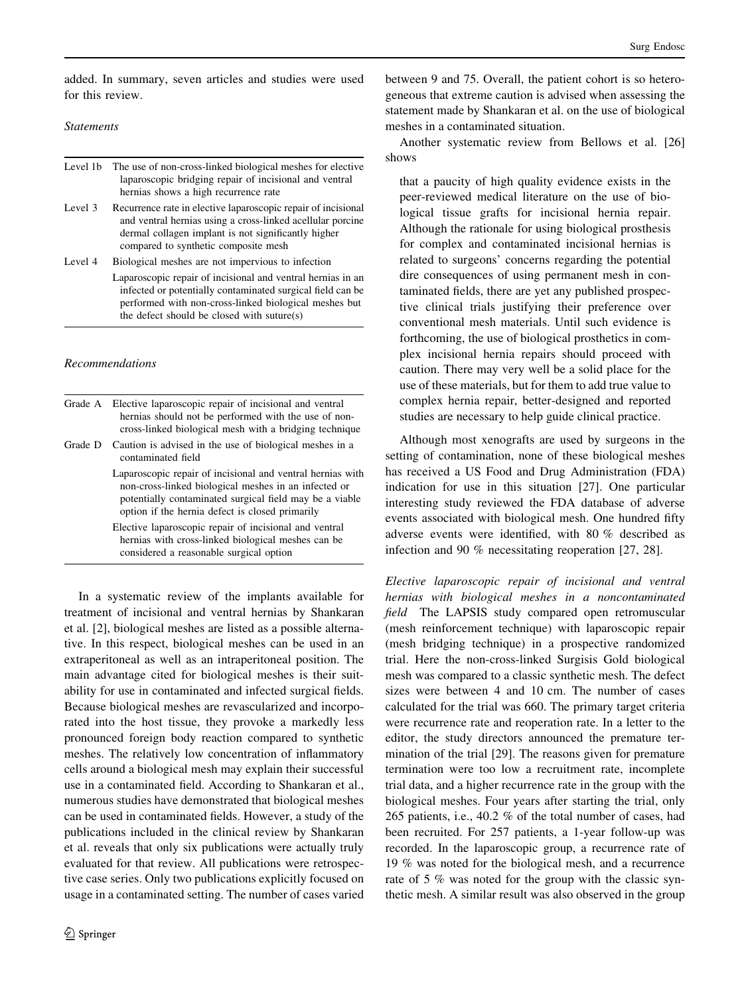added. In summary, seven articles and studies were used for this review.

# Statements

| Level 1b | The use of non-cross-linked biological meshes for elective<br>laparoscopic bridging repair of incisional and ventral<br>hernias shows a high recurrence rate                                                                     |
|----------|----------------------------------------------------------------------------------------------------------------------------------------------------------------------------------------------------------------------------------|
| Level 3  | Recurrence rate in elective laparoscopic repair of incisional<br>and ventral hernias using a cross-linked acellular porcine<br>dermal collagen implant is not significantly higher<br>compared to synthetic composite mesh       |
| Level 4  | Biological meshes are not impervious to infection                                                                                                                                                                                |
|          | Laparoscopic repair of incisional and ventral hernias in an<br>infected or potentially contaminated surgical field can be<br>performed with non-cross-linked biological meshes but<br>the defect should be closed with suture(s) |

#### Recommendations

| Grade A | Elective laparoscopic repair of incisional and ventral<br>hernias should not be performed with the use of non-<br>cross-linked biological mesh with a bridging technique                                                         |
|---------|----------------------------------------------------------------------------------------------------------------------------------------------------------------------------------------------------------------------------------|
|         | Grade D Caution is advised in the use of biological meshes in a<br>contaminated field                                                                                                                                            |
|         | Laparoscopic repair of incisional and ventral hernias with<br>non-cross-linked biological meshes in an infected or<br>potentially contaminated surgical field may be a viable<br>option if the hernia defect is closed primarily |
|         | Elective laparoscopic repair of incisional and ventral<br>hernias with cross-linked biological meshes can be<br>considered a reasonable surgical option                                                                          |

In a systematic review of the implants available for treatment of incisional and ventral hernias by Shankaran et al. [2], biological meshes are listed as a possible alternative. In this respect, biological meshes can be used in an extraperitoneal as well as an intraperitoneal position. The main advantage cited for biological meshes is their suitability for use in contaminated and infected surgical fields. Because biological meshes are revascularized and incorporated into the host tissue, they provoke a markedly less pronounced foreign body reaction compared to synthetic meshes. The relatively low concentration of inflammatory cells around a biological mesh may explain their successful use in a contaminated field. According to Shankaran et al., numerous studies have demonstrated that biological meshes can be used in contaminated fields. However, a study of the publications included in the clinical review by Shankaran et al. reveals that only six publications were actually truly evaluated for that review. All publications were retrospective case series. Only two publications explicitly focused on usage in a contaminated setting. The number of cases varied between 9 and 75. Overall, the patient cohort is so heterogeneous that extreme caution is advised when assessing the statement made by Shankaran et al. on the use of biological meshes in a contaminated situation.

Another systematic review from Bellows et al. [26] shows

that a paucity of high quality evidence exists in the peer-reviewed medical literature on the use of biological tissue grafts for incisional hernia repair. Although the rationale for using biological prosthesis for complex and contaminated incisional hernias is related to surgeons' concerns regarding the potential dire consequences of using permanent mesh in contaminated fields, there are yet any published prospective clinical trials justifying their preference over conventional mesh materials. Until such evidence is forthcoming, the use of biological prosthetics in complex incisional hernia repairs should proceed with caution. There may very well be a solid place for the use of these materials, but for them to add true value to complex hernia repair, better-designed and reported studies are necessary to help guide clinical practice.

Although most xenografts are used by surgeons in the setting of contamination, none of these biological meshes has received a US Food and Drug Administration (FDA) indication for use in this situation [27]. One particular interesting study reviewed the FDA database of adverse events associated with biological mesh. One hundred fifty adverse events were identified, with 80 % described as infection and 90 % necessitating reoperation [27, 28].

Elective laparoscopic repair of incisional and ventral hernias with biological meshes in a noncontaminated field The LAPSIS study compared open retromuscular (mesh reinforcement technique) with laparoscopic repair (mesh bridging technique) in a prospective randomized trial. Here the non-cross-linked Surgisis Gold biological mesh was compared to a classic synthetic mesh. The defect sizes were between 4 and 10 cm. The number of cases calculated for the trial was 660. The primary target criteria were recurrence rate and reoperation rate. In a letter to the editor, the study directors announced the premature termination of the trial [29]. The reasons given for premature termination were too low a recruitment rate, incomplete trial data, and a higher recurrence rate in the group with the biological meshes. Four years after starting the trial, only 265 patients, i.e., 40.2 % of the total number of cases, had been recruited. For 257 patients, a 1-year follow-up was recorded. In the laparoscopic group, a recurrence rate of 19 % was noted for the biological mesh, and a recurrence rate of 5 % was noted for the group with the classic synthetic mesh. A similar result was also observed in the group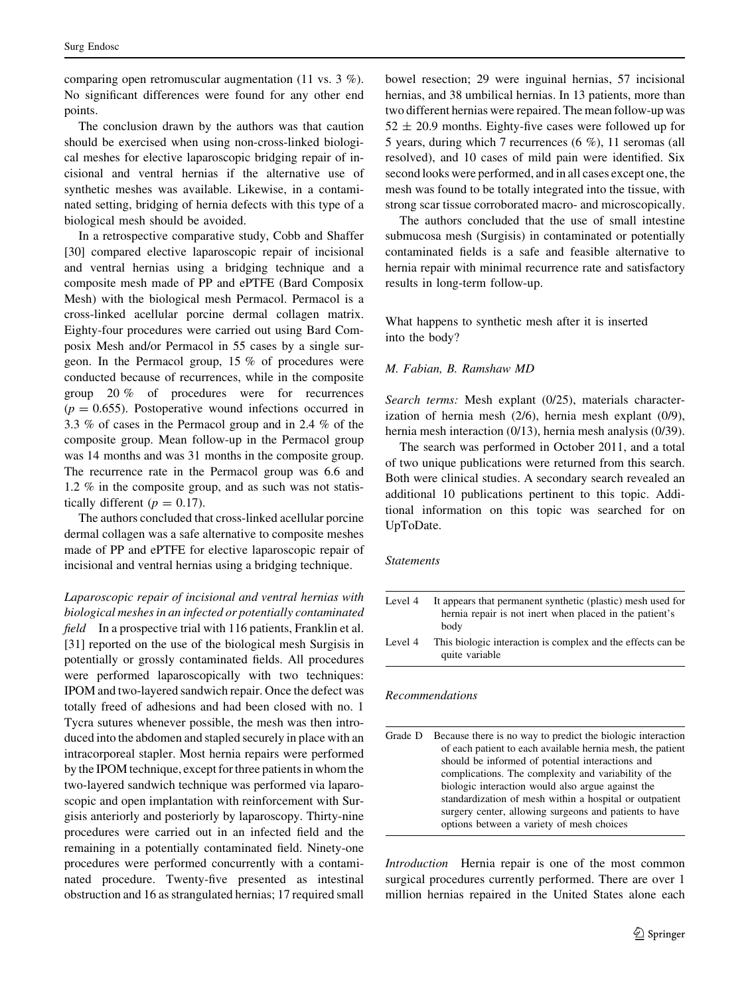comparing open retromuscular augmentation (11 vs. 3 %). No significant differences were found for any other end points.

The conclusion drawn by the authors was that caution should be exercised when using non-cross-linked biological meshes for elective laparoscopic bridging repair of incisional and ventral hernias if the alternative use of synthetic meshes was available. Likewise, in a contaminated setting, bridging of hernia defects with this type of a biological mesh should be avoided.

In a retrospective comparative study, Cobb and Shaffer [30] compared elective laparoscopic repair of incisional and ventral hernias using a bridging technique and a composite mesh made of PP and ePTFE (Bard Composix Mesh) with the biological mesh Permacol. Permacol is a cross-linked acellular porcine dermal collagen matrix. Eighty-four procedures were carried out using Bard Composix Mesh and/or Permacol in 55 cases by a single surgeon. In the Permacol group, 15 % of procedures were conducted because of recurrences, while in the composite group 20 % of procedures were for recurrences  $(p = 0.655)$ . Postoperative wound infections occurred in 3.3 % of cases in the Permacol group and in 2.4 % of the composite group. Mean follow-up in the Permacol group was 14 months and was 31 months in the composite group. The recurrence rate in the Permacol group was 6.6 and 1.2 % in the composite group, and as such was not statistically different ( $p = 0.17$ ).

The authors concluded that cross-linked acellular porcine dermal collagen was a safe alternative to composite meshes made of PP and ePTFE for elective laparoscopic repair of incisional and ventral hernias using a bridging technique.

Laparoscopic repair of incisional and ventral hernias with biological meshes in an infected or potentially contaminated field In a prospective trial with 116 patients, Franklin et al. [31] reported on the use of the biological mesh Surgisis in potentially or grossly contaminated fields. All procedures were performed laparoscopically with two techniques: IPOM and two-layered sandwich repair. Once the defect was totally freed of adhesions and had been closed with no. 1 Tycra sutures whenever possible, the mesh was then introduced into the abdomen and stapled securely in place with an intracorporeal stapler. Most hernia repairs were performed by the IPOM technique, except for three patients in whom the two-layered sandwich technique was performed via laparoscopic and open implantation with reinforcement with Surgisis anteriorly and posteriorly by laparoscopy. Thirty-nine procedures were carried out in an infected field and the remaining in a potentially contaminated field. Ninety-one procedures were performed concurrently with a contaminated procedure. Twenty-five presented as intestinal obstruction and 16 as strangulated hernias; 17 required small bowel resection; 29 were inguinal hernias, 57 incisional hernias, and 38 umbilical hernias. In 13 patients, more than two different hernias were repaired. The mean follow-up was  $52 \pm 20.9$  months. Eighty-five cases were followed up for 5 years, during which 7 recurrences (6 %), 11 seromas (all resolved), and 10 cases of mild pain were identified. Six second looks were performed, and in all cases except one, the mesh was found to be totally integrated into the tissue, with strong scar tissue corroborated macro- and microscopically.

The authors concluded that the use of small intestine submucosa mesh (Surgisis) in contaminated or potentially contaminated fields is a safe and feasible alternative to hernia repair with minimal recurrence rate and satisfactory results in long-term follow-up.

What happens to synthetic mesh after it is inserted into the body?

## M. Fabian, B. Ramshaw MD

Search terms: Mesh explant (0/25), materials characterization of hernia mesh (2/6), hernia mesh explant (0/9), hernia mesh interaction (0/13), hernia mesh analysis (0/39).

The search was performed in October 2011, and a total of two unique publications were returned from this search. Both were clinical studies. A secondary search revealed an additional 10 publications pertinent to this topic. Additional information on this topic was searched for on UpToDate.

#### Statements

| Level 4 | It appears that permanent synthetic (plastic) mesh used for<br>hernia repair is not inert when placed in the patient's<br>body |
|---------|--------------------------------------------------------------------------------------------------------------------------------|
| Level 4 | This biologic interaction is complex and the effects can be.<br>quite variable                                                 |

# Recommendations

| Because there is no way to predict the biologic interaction<br>Grade D<br>of each patient to each available hernia mesh, the patient |  |
|--------------------------------------------------------------------------------------------------------------------------------------|--|
| should be informed of potential interactions and                                                                                     |  |
| complications. The complexity and variability of the                                                                                 |  |
| biologic interaction would also argue against the                                                                                    |  |
| standardization of mesh within a hospital or outpatient                                                                              |  |
| surgery center, allowing surgeons and patients to have                                                                               |  |
| options between a variety of mesh choices                                                                                            |  |

Introduction Hernia repair is one of the most common surgical procedures currently performed. There are over 1 million hernias repaired in the United States alone each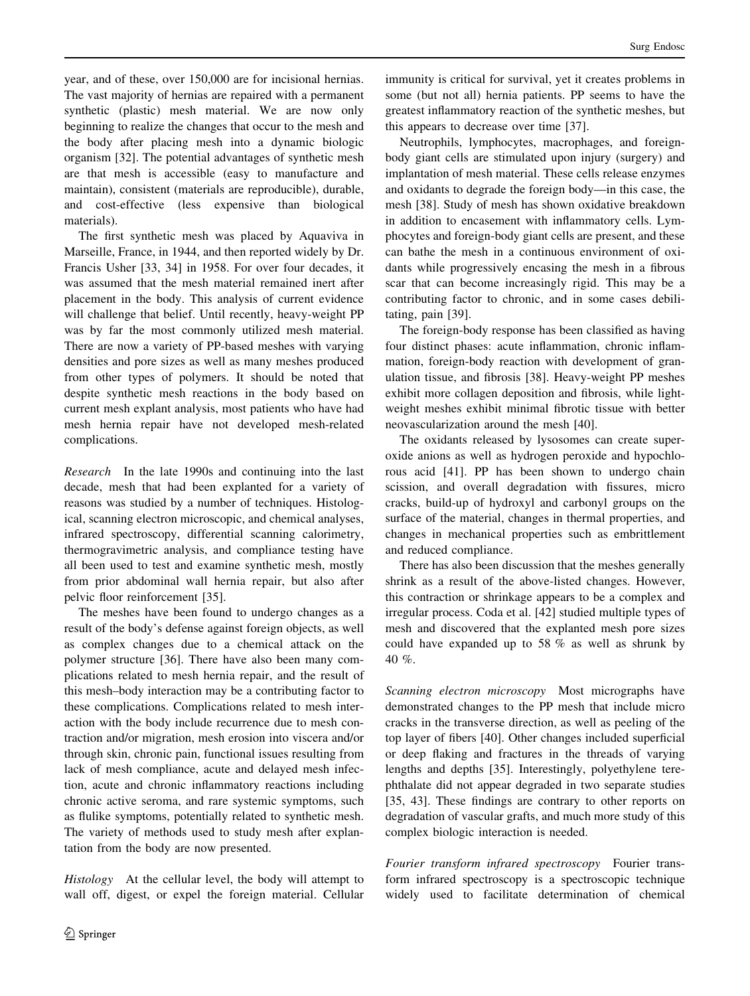year, and of these, over 150,000 are for incisional hernias. The vast majority of hernias are repaired with a permanent synthetic (plastic) mesh material. We are now only beginning to realize the changes that occur to the mesh and the body after placing mesh into a dynamic biologic organism [32]. The potential advantages of synthetic mesh are that mesh is accessible (easy to manufacture and maintain), consistent (materials are reproducible), durable, and cost-effective (less expensive than biological materials).

The first synthetic mesh was placed by Aquaviva in Marseille, France, in 1944, and then reported widely by Dr. Francis Usher [33, 34] in 1958. For over four decades, it was assumed that the mesh material remained inert after placement in the body. This analysis of current evidence will challenge that belief. Until recently, heavy-weight PP was by far the most commonly utilized mesh material. There are now a variety of PP-based meshes with varying densities and pore sizes as well as many meshes produced from other types of polymers. It should be noted that despite synthetic mesh reactions in the body based on current mesh explant analysis, most patients who have had mesh hernia repair have not developed mesh-related complications.

Research In the late 1990s and continuing into the last decade, mesh that had been explanted for a variety of reasons was studied by a number of techniques. Histological, scanning electron microscopic, and chemical analyses, infrared spectroscopy, differential scanning calorimetry, thermogravimetric analysis, and compliance testing have all been used to test and examine synthetic mesh, mostly from prior abdominal wall hernia repair, but also after pelvic floor reinforcement [35].

The meshes have been found to undergo changes as a result of the body's defense against foreign objects, as well as complex changes due to a chemical attack on the polymer structure [36]. There have also been many complications related to mesh hernia repair, and the result of this mesh–body interaction may be a contributing factor to these complications. Complications related to mesh interaction with the body include recurrence due to mesh contraction and/or migration, mesh erosion into viscera and/or through skin, chronic pain, functional issues resulting from lack of mesh compliance, acute and delayed mesh infection, acute and chronic inflammatory reactions including chronic active seroma, and rare systemic symptoms, such as flulike symptoms, potentially related to synthetic mesh. The variety of methods used to study mesh after explantation from the body are now presented.

Histology At the cellular level, the body will attempt to wall off, digest, or expel the foreign material. Cellular immunity is critical for survival, yet it creates problems in some (but not all) hernia patients. PP seems to have the greatest inflammatory reaction of the synthetic meshes, but this appears to decrease over time [37].

Neutrophils, lymphocytes, macrophages, and foreignbody giant cells are stimulated upon injury (surgery) and implantation of mesh material. These cells release enzymes and oxidants to degrade the foreign body—in this case, the mesh [38]. Study of mesh has shown oxidative breakdown in addition to encasement with inflammatory cells. Lymphocytes and foreign-body giant cells are present, and these can bathe the mesh in a continuous environment of oxidants while progressively encasing the mesh in a fibrous scar that can become increasingly rigid. This may be a contributing factor to chronic, and in some cases debilitating, pain [39].

The foreign-body response has been classified as having four distinct phases: acute inflammation, chronic inflammation, foreign-body reaction with development of granulation tissue, and fibrosis [38]. Heavy-weight PP meshes exhibit more collagen deposition and fibrosis, while lightweight meshes exhibit minimal fibrotic tissue with better neovascularization around the mesh [40].

The oxidants released by lysosomes can create superoxide anions as well as hydrogen peroxide and hypochlorous acid [41]. PP has been shown to undergo chain scission, and overall degradation with fissures, micro cracks, build-up of hydroxyl and carbonyl groups on the surface of the material, changes in thermal properties, and changes in mechanical properties such as embrittlement and reduced compliance.

There has also been discussion that the meshes generally shrink as a result of the above-listed changes. However, this contraction or shrinkage appears to be a complex and irregular process. Coda et al. [42] studied multiple types of mesh and discovered that the explanted mesh pore sizes could have expanded up to 58 % as well as shrunk by 40 %.

Scanning electron microscopy Most micrographs have demonstrated changes to the PP mesh that include micro cracks in the transverse direction, as well as peeling of the top layer of fibers [40]. Other changes included superficial or deep flaking and fractures in the threads of varying lengths and depths [35]. Interestingly, polyethylene terephthalate did not appear degraded in two separate studies [35, 43]. These findings are contrary to other reports on degradation of vascular grafts, and much more study of this complex biologic interaction is needed.

Fourier transform infrared spectroscopy Fourier transform infrared spectroscopy is a spectroscopic technique widely used to facilitate determination of chemical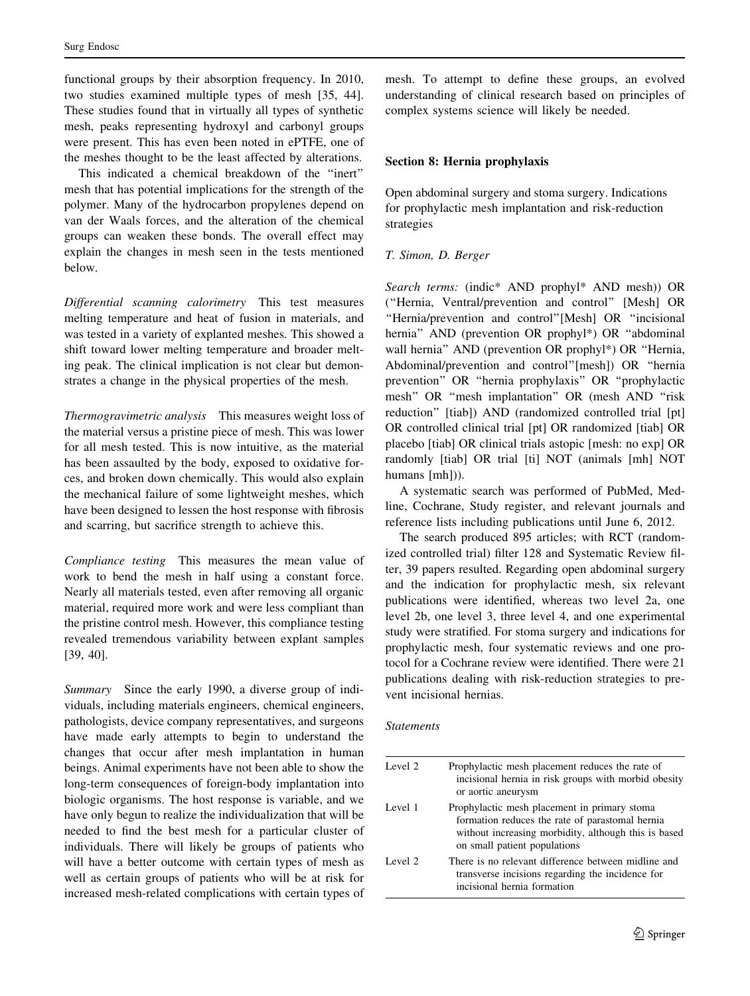functional groups by their absorption frequency. In 2010, two studies examined multiple types of mesh [35, 44]. These studies found that in virtually all types of synthetic mesh, peaks representing hydroxyl and carbonyl groups were present. This has even been noted in ePTFE, one of the meshes thought to be the least affected by alterations.

This indicated a chemical breakdown of the ''inert'' mesh that has potential implications for the strength of the polymer. Many of the hydrocarbon propylenes depend on van der Waals forces, and the alteration of the chemical groups can weaken these bonds. The overall effect may explain the changes in mesh seen in the tests mentioned below.

Differential scanning calorimetry This test measures melting temperature and heat of fusion in materials, and was tested in a variety of explanted meshes. This showed a shift toward lower melting temperature and broader melting peak. The clinical implication is not clear but demonstrates a change in the physical properties of the mesh.

Thermogravimetric analysis This measures weight loss of the material versus a pristine piece of mesh. This was lower for all mesh tested. This is now intuitive, as the material has been assaulted by the body, exposed to oxidative forces, and broken down chemically. This would also explain the mechanical failure of some lightweight meshes, which have been designed to lessen the host response with fibrosis and scarring, but sacrifice strength to achieve this.

Compliance testing This measures the mean value of work to bend the mesh in half using a constant force. Nearly all materials tested, even after removing all organic material, required more work and were less compliant than the pristine control mesh. However, this compliance testing revealed tremendous variability between explant samples [39, 40].

Summary Since the early 1990, a diverse group of individuals, including materials engineers, chemical engineers, pathologists, device company representatives, and surgeons have made early attempts to begin to understand the changes that occur after mesh implantation in human beings. Animal experiments have not been able to show the long-term consequences of foreign-body implantation into biologic organisms. The host response is variable, and we have only begun to realize the individualization that will be needed to find the best mesh for a particular cluster of individuals. There will likely be groups of patients who will have a better outcome with certain types of mesh as well as certain groups of patients who will be at risk for increased mesh-related complications with certain types of

mesh. To attempt to define these groups, an evolved understanding of clinical research based on principles of complex systems science will likely be needed.

# Section 8: Hernia prophylaxis

Open abdominal surgery and stoma surgery. Indications for prophylactic mesh implantation and risk-reduction strategies

# T. Simon, D. Berger

Search terms: (indic\* AND prophyl\* AND mesh)) OR (''Hernia, Ventral/prevention and control'' [Mesh] OR ''Hernia/prevention and control''[Mesh] OR ''incisional hernia'' AND (prevention OR prophyl\*) OR ''abdominal wall hernia'' AND (prevention OR prophyl\*) OR ''Hernia, Abdominal/prevention and control''[mesh]) OR ''hernia prevention'' OR ''hernia prophylaxis'' OR ''prophylactic mesh'' OR ''mesh implantation'' OR (mesh AND ''risk reduction'' [tiab]) AND (randomized controlled trial [pt] OR controlled clinical trial [pt] OR randomized [tiab] OR placebo [tiab] OR clinical trials astopic [mesh: no exp] OR randomly [tiab] OR trial [ti] NOT (animals [mh] NOT humans [mh])).

A systematic search was performed of PubMed, Medline, Cochrane, Study register, and relevant journals and reference lists including publications until June 6, 2012.

The search produced 895 articles; with RCT (randomized controlled trial) filter 128 and Systematic Review filter, 39 papers resulted. Regarding open abdominal surgery and the indication for prophylactic mesh, six relevant publications were identified, whereas two level 2a, one level 2b, one level 3, three level 4, and one experimental study were stratified. For stoma surgery and indications for prophylactic mesh, four systematic reviews and one protocol for a Cochrane review were identified. There were 21 publications dealing with risk-reduction strategies to prevent incisional hernias.

## Statements

| Level 2 | Prophylactic mesh placement reduces the rate of<br>incisional hernia in risk groups with morbid obesity<br>or aortic aneurysm                                                           |
|---------|-----------------------------------------------------------------------------------------------------------------------------------------------------------------------------------------|
| Level 1 | Prophylactic mesh placement in primary stoma<br>formation reduces the rate of parastomal hernia<br>without increasing morbidity, although this is based<br>on small patient populations |
| Level 2 | There is no relevant difference between midline and<br>transverse incisions regarding the incidence for<br>incisional hernia formation                                                  |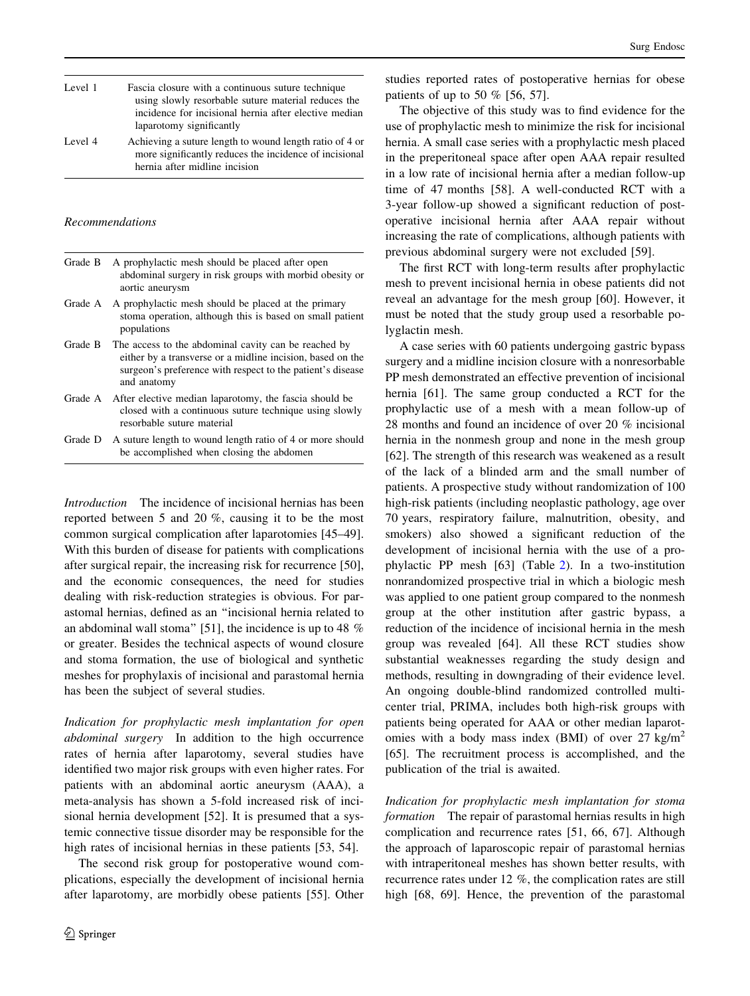| Level 1 | Fascia closure with a continuous suture technique<br>using slowly resorbable suture material reduces the<br>incidence for incisional hernia after elective median<br>laparotomy significantly |
|---------|-----------------------------------------------------------------------------------------------------------------------------------------------------------------------------------------------|
| Level 4 | Achieving a suture length to wound length ratio of 4 or<br>more significantly reduces the incidence of incisional<br>hernia after midline incision                                            |

# Recommendations

| Grade B | A prophylactic mesh should be placed after open<br>abdominal surgery in risk groups with morbid obesity or<br>aortic aneurysm                                                                   |
|---------|-------------------------------------------------------------------------------------------------------------------------------------------------------------------------------------------------|
| Grade A | A prophylactic mesh should be placed at the primary<br>stoma operation, although this is based on small patient<br>populations                                                                  |
| Grade B | The access to the abdominal cavity can be reached by<br>either by a transverse or a midline incision, based on the<br>surgeon's preference with respect to the patient's disease<br>and anatomy |
| Grade A | After elective median laparotomy, the fascia should be<br>closed with a continuous suture technique using slowly<br>resorbable suture material                                                  |

Grade D A suture length to wound length ratio of 4 or more should be accomplished when closing the abdomen

Introduction The incidence of incisional hernias has been reported between 5 and 20 %, causing it to be the most common surgical complication after laparotomies [45–49]. With this burden of disease for patients with complications after surgical repair, the increasing risk for recurrence [50], and the economic consequences, the need for studies dealing with risk-reduction strategies is obvious. For parastomal hernias, defined as an ''incisional hernia related to an abdominal wall stoma'' [51], the incidence is up to 48 % or greater. Besides the technical aspects of wound closure and stoma formation, the use of biological and synthetic meshes for prophylaxis of incisional and parastomal hernia has been the subject of several studies.

Indication for prophylactic mesh implantation for open abdominal surgery In addition to the high occurrence rates of hernia after laparotomy, several studies have identified two major risk groups with even higher rates. For patients with an abdominal aortic aneurysm (AAA), a meta-analysis has shown a 5-fold increased risk of incisional hernia development [52]. It is presumed that a systemic connective tissue disorder may be responsible for the high rates of incisional hernias in these patients [53, 54].

The second risk group for postoperative wound complications, especially the development of incisional hernia after laparotomy, are morbidly obese patients [55]. Other studies reported rates of postoperative hernias for obese patients of up to 50 % [56, 57].

The objective of this study was to find evidence for the use of prophylactic mesh to minimize the risk for incisional hernia. A small case series with a prophylactic mesh placed in the preperitoneal space after open AAA repair resulted in a low rate of incisional hernia after a median follow-up time of 47 months [58]. A well-conducted RCT with a 3-year follow-up showed a significant reduction of postoperative incisional hernia after AAA repair without increasing the rate of complications, although patients with previous abdominal surgery were not excluded [59].

The first RCT with long-term results after prophylactic mesh to prevent incisional hernia in obese patients did not reveal an advantage for the mesh group [60]. However, it must be noted that the study group used a resorbable polyglactin mesh.

A case series with 60 patients undergoing gastric bypass surgery and a midline incision closure with a nonresorbable PP mesh demonstrated an effective prevention of incisional hernia [61]. The same group conducted a RCT for the prophylactic use of a mesh with a mean follow-up of 28 months and found an incidence of over 20 % incisional hernia in the nonmesh group and none in the mesh group [62]. The strength of this research was weakened as a result of the lack of a blinded arm and the small number of patients. A prospective study without randomization of 100 high-risk patients (including neoplastic pathology, age over 70 years, respiratory failure, malnutrition, obesity, and smokers) also showed a significant reduction of the development of incisional hernia with the use of a prophylactic PP mesh [63] (Table [2](#page-10-0)). In a two-institution nonrandomized prospective trial in which a biologic mesh was applied to one patient group compared to the nonmesh group at the other institution after gastric bypass, a reduction of the incidence of incisional hernia in the mesh group was revealed [64]. All these RCT studies show substantial weaknesses regarding the study design and methods, resulting in downgrading of their evidence level. An ongoing double-blind randomized controlled multicenter trial, PRIMA, includes both high-risk groups with patients being operated for AAA or other median laparotomies with a body mass index (BMI) of over 27 kg/m<sup>2</sup> [65]. The recruitment process is accomplished, and the publication of the trial is awaited.

Indication for prophylactic mesh implantation for stoma formation The repair of parastomal hernias results in high complication and recurrence rates [51, 66, 67]. Although the approach of laparoscopic repair of parastomal hernias with intraperitoneal meshes has shown better results, with recurrence rates under 12 %, the complication rates are still high [68, 69]. Hence, the prevention of the parastomal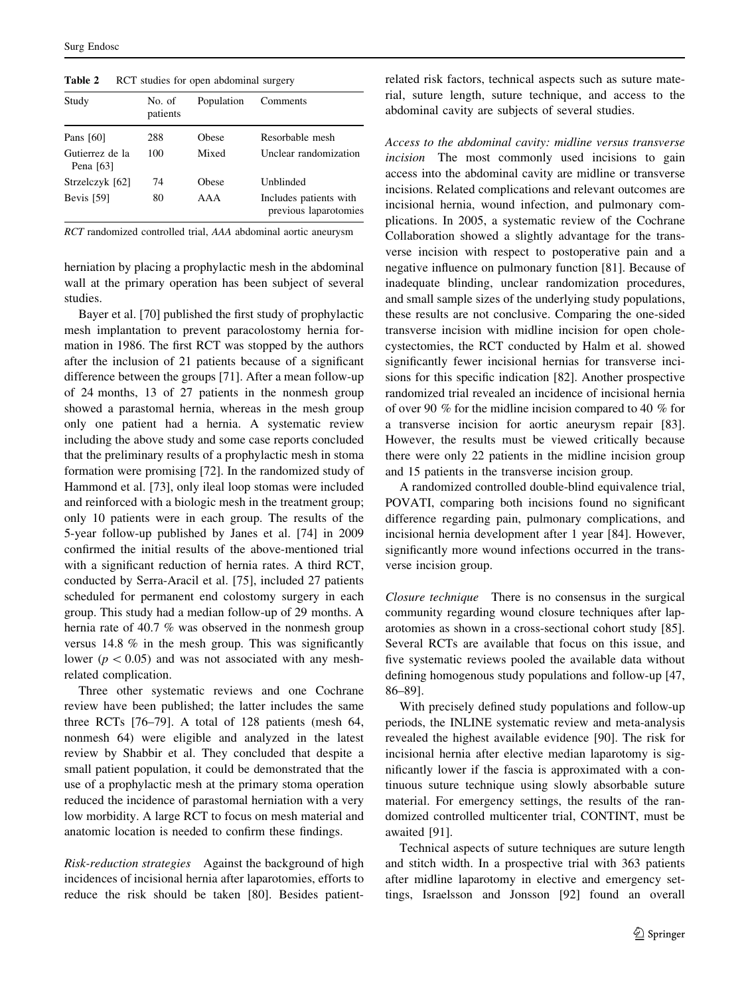<span id="page-10-0"></span>

| Table 2 |  |  |  |  | RCT studies for open abdominal surgery |  |
|---------|--|--|--|--|----------------------------------------|--|
|---------|--|--|--|--|----------------------------------------|--|

| Study                        | No. of<br>patients | Population | Comments                                        |
|------------------------------|--------------------|------------|-------------------------------------------------|
| Pans [60]                    | 288                | Obese      | Resorbable mesh                                 |
| Gutierrez de la<br>Pena [63] | 100                | Mixed      | Unclear randomization                           |
| Strzelczyk [62]              | 74                 | Obese      | Unblinded                                       |
| Bevis $[59]$                 | 80                 | AAA        | Includes patients with<br>previous laparotomies |

RCT randomized controlled trial, AAA abdominal aortic aneurysm

herniation by placing a prophylactic mesh in the abdominal wall at the primary operation has been subject of several studies.

Bayer et al. [70] published the first study of prophylactic mesh implantation to prevent paracolostomy hernia formation in 1986. The first RCT was stopped by the authors after the inclusion of 21 patients because of a significant difference between the groups [71]. After a mean follow-up of 24 months, 13 of 27 patients in the nonmesh group showed a parastomal hernia, whereas in the mesh group only one patient had a hernia. A systematic review including the above study and some case reports concluded that the preliminary results of a prophylactic mesh in stoma formation were promising [72]. In the randomized study of Hammond et al. [73], only ileal loop stomas were included and reinforced with a biologic mesh in the treatment group; only 10 patients were in each group. The results of the 5-year follow-up published by Janes et al. [74] in 2009 confirmed the initial results of the above-mentioned trial with a significant reduction of hernia rates. A third RCT, conducted by Serra-Aracil et al. [75], included 27 patients scheduled for permanent end colostomy surgery in each group. This study had a median follow-up of 29 months. A hernia rate of 40.7 % was observed in the nonmesh group versus 14.8 % in the mesh group. This was significantly lower ( $p < 0.05$ ) and was not associated with any meshrelated complication.

Three other systematic reviews and one Cochrane review have been published; the latter includes the same three RCTs [76–79]. A total of 128 patients (mesh 64, nonmesh 64) were eligible and analyzed in the latest review by Shabbir et al. They concluded that despite a small patient population, it could be demonstrated that the use of a prophylactic mesh at the primary stoma operation reduced the incidence of parastomal herniation with a very low morbidity. A large RCT to focus on mesh material and anatomic location is needed to confirm these findings.

Risk-reduction strategies Against the background of high incidences of incisional hernia after laparotomies, efforts to reduce the risk should be taken [80]. Besides patientrelated risk factors, technical aspects such as suture material, suture length, suture technique, and access to the abdominal cavity are subjects of several studies.

Access to the abdominal cavity: midline versus transverse incision The most commonly used incisions to gain access into the abdominal cavity are midline or transverse incisions. Related complications and relevant outcomes are incisional hernia, wound infection, and pulmonary complications. In 2005, a systematic review of the Cochrane Collaboration showed a slightly advantage for the transverse incision with respect to postoperative pain and a negative influence on pulmonary function [81]. Because of inadequate blinding, unclear randomization procedures, and small sample sizes of the underlying study populations, these results are not conclusive. Comparing the one-sided transverse incision with midline incision for open cholecystectomies, the RCT conducted by Halm et al. showed significantly fewer incisional hernias for transverse incisions for this specific indication [82]. Another prospective randomized trial revealed an incidence of incisional hernia of over 90 % for the midline incision compared to 40 % for a transverse incision for aortic aneurysm repair [83]. However, the results must be viewed critically because there were only 22 patients in the midline incision group and 15 patients in the transverse incision group.

A randomized controlled double-blind equivalence trial, POVATI, comparing both incisions found no significant difference regarding pain, pulmonary complications, and incisional hernia development after 1 year [84]. However, significantly more wound infections occurred in the transverse incision group.

Closure technique There is no consensus in the surgical community regarding wound closure techniques after laparotomies as shown in a cross-sectional cohort study [85]. Several RCTs are available that focus on this issue, and five systematic reviews pooled the available data without defining homogenous study populations and follow-up [47, 86–89].

With precisely defined study populations and follow-up periods, the INLINE systematic review and meta-analysis revealed the highest available evidence [90]. The risk for incisional hernia after elective median laparotomy is significantly lower if the fascia is approximated with a continuous suture technique using slowly absorbable suture material. For emergency settings, the results of the randomized controlled multicenter trial, CONTINT, must be awaited [91].

Technical aspects of suture techniques are suture length and stitch width. In a prospective trial with 363 patients after midline laparotomy in elective and emergency settings, Israelsson and Jonsson [92] found an overall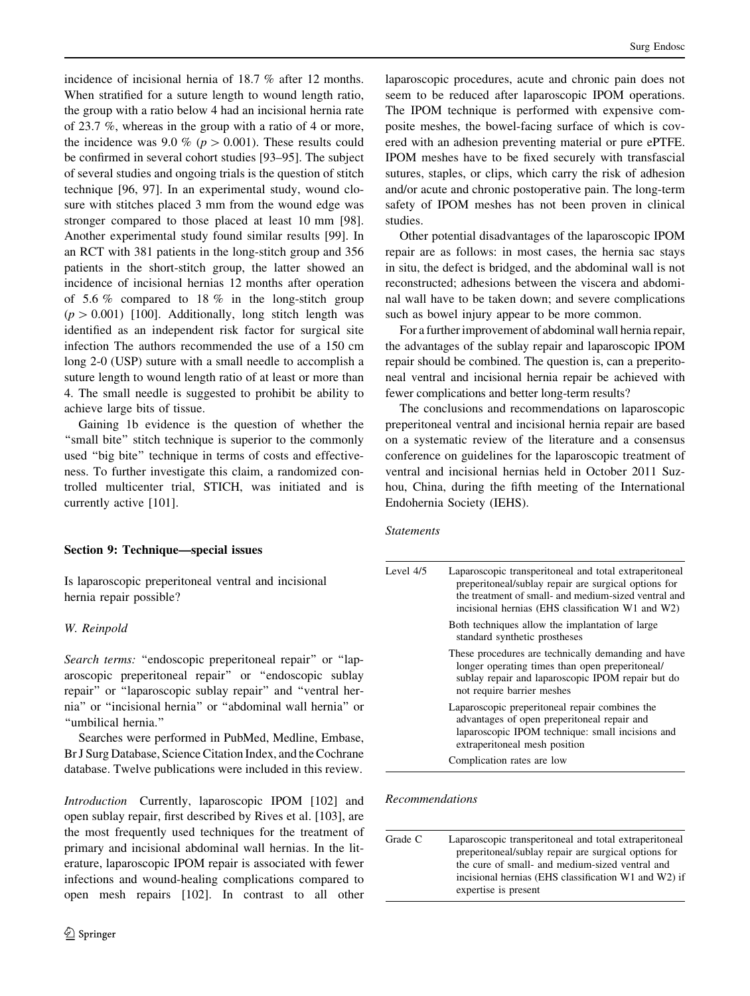incidence of incisional hernia of 18.7 % after 12 months. When stratified for a suture length to wound length ratio, the group with a ratio below 4 had an incisional hernia rate of 23.7 %, whereas in the group with a ratio of 4 or more, the incidence was 9.0 % ( $p > 0.001$ ). These results could be confirmed in several cohort studies [93–95]. The subject of several studies and ongoing trials is the question of stitch technique [96, 97]. In an experimental study, wound closure with stitches placed 3 mm from the wound edge was stronger compared to those placed at least 10 mm [98]. Another experimental study found similar results [99]. In an RCT with 381 patients in the long-stitch group and 356 patients in the short-stitch group, the latter showed an incidence of incisional hernias 12 months after operation of 5.6 % compared to 18 % in the long-stitch group  $(p > 0.001)$  [100]. Additionally, long stitch length was identified as an independent risk factor for surgical site infection The authors recommended the use of a 150 cm long 2-0 (USP) suture with a small needle to accomplish a suture length to wound length ratio of at least or more than 4. The small needle is suggested to prohibit be ability to achieve large bits of tissue.

Gaining 1b evidence is the question of whether the "small bite" stitch technique is superior to the commonly used ''big bite'' technique in terms of costs and effectiveness. To further investigate this claim, a randomized controlled multicenter trial, STICH, was initiated and is currently active [101].

## Section 9: Technique—special issues

Is laparoscopic preperitoneal ventral and incisional hernia repair possible?

# W. Reinpold

Search terms: "endoscopic preperitoneal repair" or "laparoscopic preperitoneal repair'' or ''endoscopic sublay repair'' or ''laparoscopic sublay repair'' and ''ventral hernia'' or ''incisional hernia'' or ''abdominal wall hernia'' or ''umbilical hernia.''

Searches were performed in PubMed, Medline, Embase, Br J Surg Database, Science Citation Index, and the Cochrane database. Twelve publications were included in this review.

Introduction Currently, laparoscopic IPOM [102] and open sublay repair, first described by Rives et al. [103], are the most frequently used techniques for the treatment of primary and incisional abdominal wall hernias. In the literature, laparoscopic IPOM repair is associated with fewer infections and wound-healing complications compared to open mesh repairs [102]. In contrast to all other laparoscopic procedures, acute and chronic pain does not seem to be reduced after laparoscopic IPOM operations. The IPOM technique is performed with expensive composite meshes, the bowel-facing surface of which is covered with an adhesion preventing material or pure ePTFE. IPOM meshes have to be fixed securely with transfascial sutures, staples, or clips, which carry the risk of adhesion and/or acute and chronic postoperative pain. The long-term safety of IPOM meshes has not been proven in clinical studies.

Other potential disadvantages of the laparoscopic IPOM repair are as follows: in most cases, the hernia sac stays in situ, the defect is bridged, and the abdominal wall is not reconstructed; adhesions between the viscera and abdominal wall have to be taken down; and severe complications such as bowel injury appear to be more common.

For a further improvement of abdominal wall hernia repair, the advantages of the sublay repair and laparoscopic IPOM repair should be combined. The question is, can a preperitoneal ventral and incisional hernia repair be achieved with fewer complications and better long-term results?

The conclusions and recommendations on laparoscopic preperitoneal ventral and incisional hernia repair are based on a systematic review of the literature and a consensus conference on guidelines for the laparoscopic treatment of ventral and incisional hernias held in October 2011 Suzhou, China, during the fifth meeting of the International Endohernia Society (IEHS).

## **Statements**

| Level $4/5$ | Laparoscopic transperitoneal and total extraperitoneal<br>preperitoneal/sublay repair are surgical options for<br>the treatment of small- and medium-sized ventral and<br>incisional hernias (EHS classification W1 and W2) |
|-------------|-----------------------------------------------------------------------------------------------------------------------------------------------------------------------------------------------------------------------------|
|             | Both techniques allow the implantation of large<br>standard synthetic prostheses                                                                                                                                            |
|             | These procedures are technically demanding and have<br>longer operating times than open preperitoneal/<br>sublay repair and laparoscopic IPOM repair but do<br>not require barrier meshes                                   |
|             | Laparoscopic preperitoneal repair combines the<br>advantages of open preperitoneal repair and<br>laparoscopic IPOM technique: small incisions and<br>extraperitoneal mesh position                                          |
|             | Complication rates are low                                                                                                                                                                                                  |

Recommendations

| Grade C | Laparoscopic transperitoneal and total extraperitoneal<br>preperitoneal/sublay repair are surgical options for<br>the cure of small- and medium-sized ventral and<br>incisional hernias (EHS classification W1 and W2) if |
|---------|---------------------------------------------------------------------------------------------------------------------------------------------------------------------------------------------------------------------------|
|         | expertise is present                                                                                                                                                                                                      |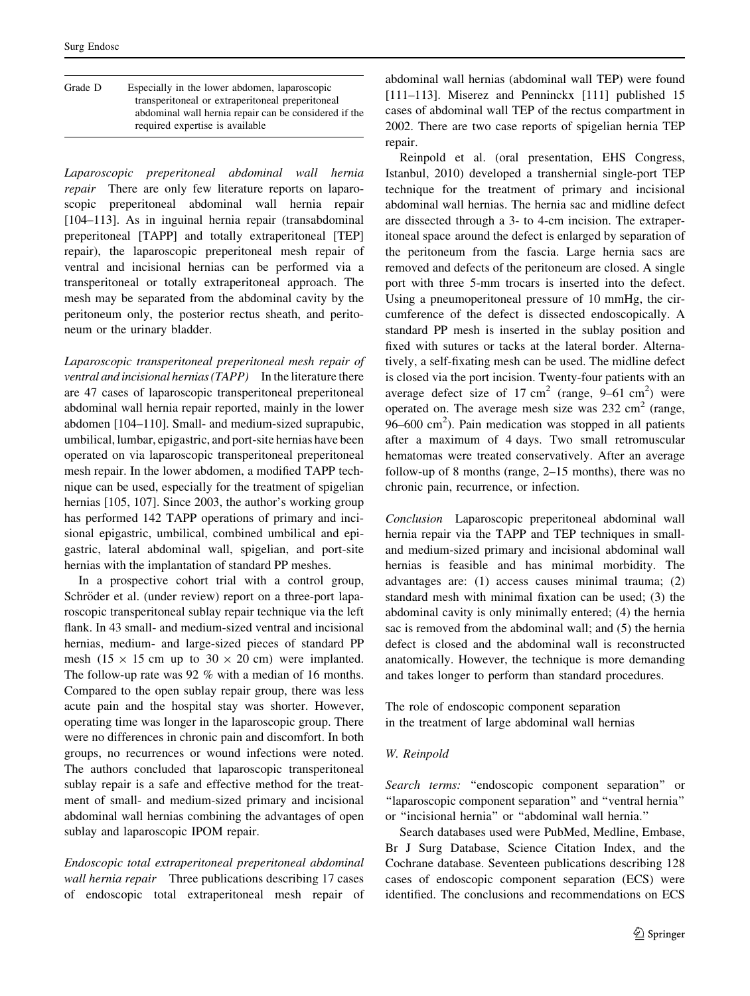| Grade D | Especially in the lower abdomen, laparoscopic         |
|---------|-------------------------------------------------------|
|         | transperitoneal or extraperitoneal preperitoneal      |
|         | abdominal wall hernia repair can be considered if the |
|         | required expertise is available                       |

Laparoscopic preperitoneal abdominal wall hernia repair There are only few literature reports on laparoscopic preperitoneal abdominal wall hernia repair [104–113]. As in inguinal hernia repair (transabdominal preperitoneal [TAPP] and totally extraperitoneal [TEP] repair), the laparoscopic preperitoneal mesh repair of ventral and incisional hernias can be performed via a transperitoneal or totally extraperitoneal approach. The mesh may be separated from the abdominal cavity by the peritoneum only, the posterior rectus sheath, and peritoneum or the urinary bladder.

Laparoscopic transperitoneal preperitoneal mesh repair of ventral and incisional hernias (TAPP) In the literature there are 47 cases of laparoscopic transperitoneal preperitoneal abdominal wall hernia repair reported, mainly in the lower abdomen [104–110]. Small- and medium-sized suprapubic, umbilical, lumbar, epigastric, and port-site hernias have been operated on via laparoscopic transperitoneal preperitoneal mesh repair. In the lower abdomen, a modified TAPP technique can be used, especially for the treatment of spigelian hernias [105, 107]. Since 2003, the author's working group has performed 142 TAPP operations of primary and incisional epigastric, umbilical, combined umbilical and epigastric, lateral abdominal wall, spigelian, and port-site hernias with the implantation of standard PP meshes.

In a prospective cohort trial with a control group, Schröder et al. (under review) report on a three-port laparoscopic transperitoneal sublay repair technique via the left flank. In 43 small- and medium-sized ventral and incisional hernias, medium- and large-sized pieces of standard PP mesh (15  $\times$  15 cm up to 30  $\times$  20 cm) were implanted. The follow-up rate was 92 % with a median of 16 months. Compared to the open sublay repair group, there was less acute pain and the hospital stay was shorter. However, operating time was longer in the laparoscopic group. There were no differences in chronic pain and discomfort. In both groups, no recurrences or wound infections were noted. The authors concluded that laparoscopic transperitoneal sublay repair is a safe and effective method for the treatment of small- and medium-sized primary and incisional abdominal wall hernias combining the advantages of open sublay and laparoscopic IPOM repair.

Endoscopic total extraperitoneal preperitoneal abdominal wall hernia repair Three publications describing 17 cases of endoscopic total extraperitoneal mesh repair of abdominal wall hernias (abdominal wall TEP) were found [111–113]. Miserez and Penninckx [111] published 15 cases of abdominal wall TEP of the rectus compartment in 2002. There are two case reports of spigelian hernia TEP repair.

Reinpold et al. (oral presentation, EHS Congress, Istanbul, 2010) developed a transhernial single-port TEP technique for the treatment of primary and incisional abdominal wall hernias. The hernia sac and midline defect are dissected through a 3- to 4-cm incision. The extraperitoneal space around the defect is enlarged by separation of the peritoneum from the fascia. Large hernia sacs are removed and defects of the peritoneum are closed. A single port with three 5-mm trocars is inserted into the defect. Using a pneumoperitoneal pressure of 10 mmHg, the circumference of the defect is dissected endoscopically. A standard PP mesh is inserted in the sublay position and fixed with sutures or tacks at the lateral border. Alternatively, a self-fixating mesh can be used. The midline defect is closed via the port incision. Twenty-four patients with an average defect size of  $17 \text{ cm}^2$  (range,  $9-61 \text{ cm}^2$ ) were operated on. The average mesh size was  $232 \text{ cm}^2$  (range, 96–600  $\text{cm}^2$ ). Pain medication was stopped in all patients after a maximum of 4 days. Two small retromuscular hematomas were treated conservatively. After an average follow-up of 8 months (range, 2–15 months), there was no chronic pain, recurrence, or infection.

Conclusion Laparoscopic preperitoneal abdominal wall hernia repair via the TAPP and TEP techniques in smalland medium-sized primary and incisional abdominal wall hernias is feasible and has minimal morbidity. The advantages are: (1) access causes minimal trauma; (2) standard mesh with minimal fixation can be used; (3) the abdominal cavity is only minimally entered; (4) the hernia sac is removed from the abdominal wall; and (5) the hernia defect is closed and the abdominal wall is reconstructed anatomically. However, the technique is more demanding and takes longer to perform than standard procedures.

The role of endoscopic component separation in the treatment of large abdominal wall hernias

# W. Reinpold

Search terms: ''endoscopic component separation'' or ''laparoscopic component separation'' and ''ventral hernia'' or ''incisional hernia'' or ''abdominal wall hernia.''

Search databases used were PubMed, Medline, Embase, Br J Surg Database, Science Citation Index, and the Cochrane database. Seventeen publications describing 128 cases of endoscopic component separation (ECS) were identified. The conclusions and recommendations on ECS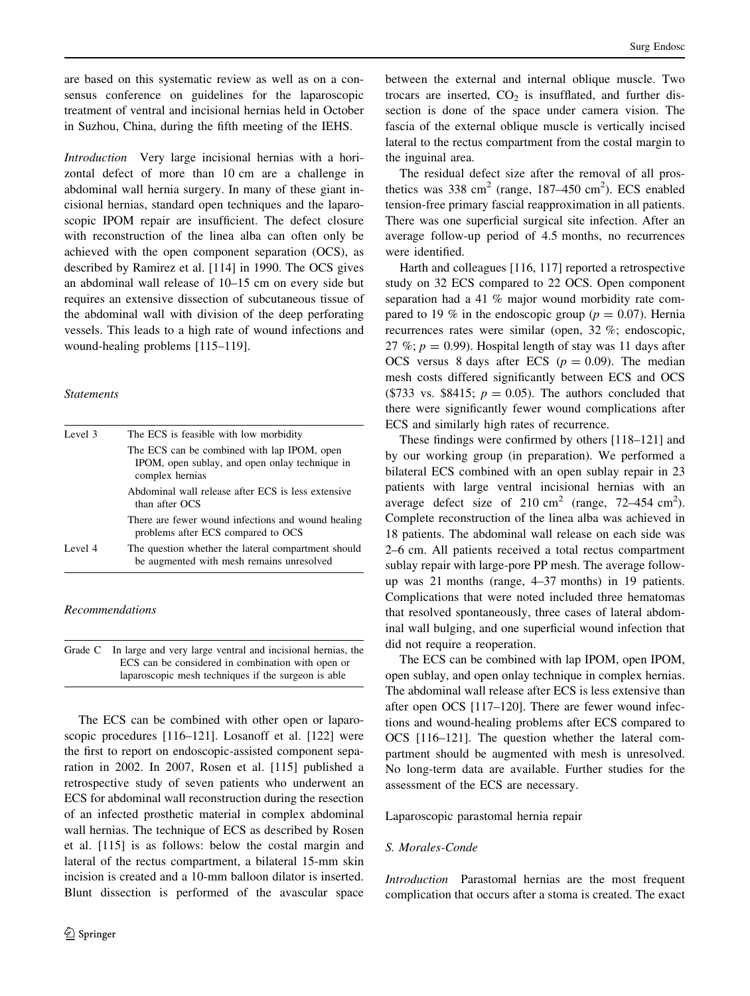are based on this systematic review as well as on a consensus conference on guidelines for the laparoscopic treatment of ventral and incisional hernias held in October in Suzhou, China, during the fifth meeting of the IEHS.

Introduction Very large incisional hernias with a horizontal defect of more than 10 cm are a challenge in abdominal wall hernia surgery. In many of these giant incisional hernias, standard open techniques and the laparoscopic IPOM repair are insufficient. The defect closure with reconstruction of the linea alba can often only be achieved with the open component separation (OCS), as described by Ramirez et al. [114] in 1990. The OCS gives an abdominal wall release of 10–15 cm on every side but requires an extensive dissection of subcutaneous tissue of the abdominal wall with division of the deep perforating vessels. This leads to a high rate of wound infections and wound-healing problems [115–119].

## Statements

| Level 3 | The ECS is feasible with low morbidity                                                                           |
|---------|------------------------------------------------------------------------------------------------------------------|
|         | The ECS can be combined with lap IPOM, open<br>IPOM, open sublay, and open onlay technique in<br>complex hernias |
|         | Abdominal wall release after ECS is less extensive<br>than after OCS                                             |
|         | There are fewer wound infections and wound healing<br>problems after ECS compared to OCS                         |
| Level 4 | The question whether the lateral compartment should<br>be augmented with mesh remains unresolved                 |
|         |                                                                                                                  |

Recommendations

| Grade C In large and very large ventral and incisional hernias, the |
|---------------------------------------------------------------------|
| ECS can be considered in combination with open or                   |
| laparoscopic mesh techniques if the surgeon is able                 |

The ECS can be combined with other open or laparoscopic procedures [116–121]. Losanoff et al. [122] were the first to report on endoscopic-assisted component separation in 2002. In 2007, Rosen et al. [115] published a retrospective study of seven patients who underwent an ECS for abdominal wall reconstruction during the resection of an infected prosthetic material in complex abdominal wall hernias. The technique of ECS as described by Rosen et al. [115] is as follows: below the costal margin and lateral of the rectus compartment, a bilateral 15-mm skin incision is created and a 10-mm balloon dilator is inserted. Blunt dissection is performed of the avascular space between the external and internal oblique muscle. Two trocars are inserted,  $CO<sub>2</sub>$  is insufflated, and further dissection is done of the space under camera vision. The fascia of the external oblique muscle is vertically incised lateral to the rectus compartment from the costal margin to the inguinal area.

The residual defect size after the removal of all prosthetics was  $338 \text{ cm}^2$  (range,  $187-450 \text{ cm}^2$ ). ECS enabled tension-free primary fascial reapproximation in all patients. There was one superficial surgical site infection. After an average follow-up period of 4.5 months, no recurrences were identified.

Harth and colleagues [116, 117] reported a retrospective study on 32 ECS compared to 22 OCS. Open component separation had a 41 % major wound morbidity rate compared to 19 % in the endoscopic group ( $p = 0.07$ ). Hernia recurrences rates were similar (open, 32 %; endoscopic, 27 %;  $p = 0.99$ ). Hospital length of stay was 11 days after OCS versus 8 days after ECS ( $p = 0.09$ ). The median mesh costs differed significantly between ECS and OCS (\$733 vs. \$8415;  $p = 0.05$ ). The authors concluded that there were significantly fewer wound complications after ECS and similarly high rates of recurrence.

These findings were confirmed by others [118–121] and by our working group (in preparation). We performed a bilateral ECS combined with an open sublay repair in 23 patients with large ventral incisional hernias with an average defect size of  $210 \text{ cm}^2$  (range,  $72-454 \text{ cm}^2$ ). Complete reconstruction of the linea alba was achieved in 18 patients. The abdominal wall release on each side was 2–6 cm. All patients received a total rectus compartment sublay repair with large-pore PP mesh. The average followup was 21 months (range, 4–37 months) in 19 patients. Complications that were noted included three hematomas that resolved spontaneously, three cases of lateral abdominal wall bulging, and one superficial wound infection that did not require a reoperation.

The ECS can be combined with lap IPOM, open IPOM, open sublay, and open onlay technique in complex hernias. The abdominal wall release after ECS is less extensive than after open OCS [117–120]. There are fewer wound infections and wound-healing problems after ECS compared to OCS [116–121]. The question whether the lateral compartment should be augmented with mesh is unresolved. No long-term data are available. Further studies for the assessment of the ECS are necessary.

Laparoscopic parastomal hernia repair

## S. Morales-Conde

Introduction Parastomal hernias are the most frequent complication that occurs after a stoma is created. The exact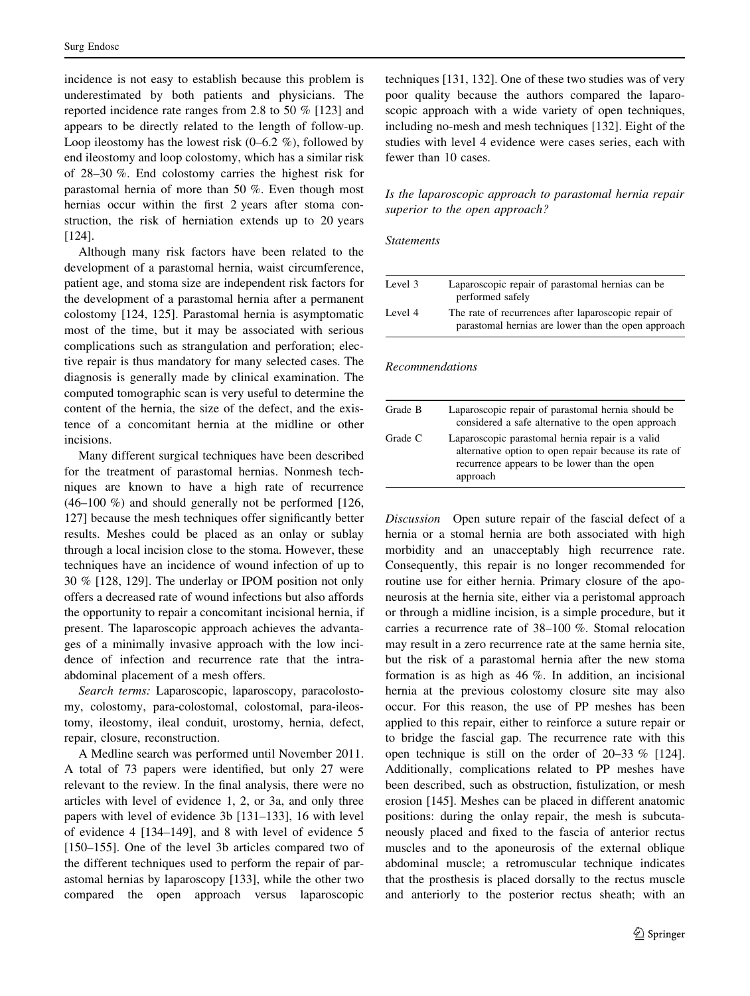incidence is not easy to establish because this problem is underestimated by both patients and physicians. The reported incidence rate ranges from 2.8 to 50 % [123] and appears to be directly related to the length of follow-up. Loop ileostomy has the lowest risk  $(0-6.2 \%)$ , followed by end ileostomy and loop colostomy, which has a similar risk of 28–30 %. End colostomy carries the highest risk for parastomal hernia of more than 50 %. Even though most hernias occur within the first 2 years after stoma construction, the risk of herniation extends up to 20 years [124].

Although many risk factors have been related to the development of a parastomal hernia, waist circumference, patient age, and stoma size are independent risk factors for the development of a parastomal hernia after a permanent colostomy [124, 125]. Parastomal hernia is asymptomatic most of the time, but it may be associated with serious complications such as strangulation and perforation; elective repair is thus mandatory for many selected cases. The diagnosis is generally made by clinical examination. The computed tomographic scan is very useful to determine the content of the hernia, the size of the defect, and the existence of a concomitant hernia at the midline or other incisions.

Many different surgical techniques have been described for the treatment of parastomal hernias. Nonmesh techniques are known to have a high rate of recurrence  $(46-100 \%)$  and should generally not be performed [126, 127] because the mesh techniques offer significantly better results. Meshes could be placed as an onlay or sublay through a local incision close to the stoma. However, these techniques have an incidence of wound infection of up to 30 % [128, 129]. The underlay or IPOM position not only offers a decreased rate of wound infections but also affords the opportunity to repair a concomitant incisional hernia, if present. The laparoscopic approach achieves the advantages of a minimally invasive approach with the low incidence of infection and recurrence rate that the intraabdominal placement of a mesh offers.

Search terms: Laparoscopic, laparoscopy, paracolostomy, colostomy, para-colostomal, colostomal, para-ileostomy, ileostomy, ileal conduit, urostomy, hernia, defect, repair, closure, reconstruction.

A Medline search was performed until November 2011. A total of 73 papers were identified, but only 27 were relevant to the review. In the final analysis, there were no articles with level of evidence 1, 2, or 3a, and only three papers with level of evidence 3b [131–133], 16 with level of evidence 4 [134–149], and 8 with level of evidence 5 [150–155]. One of the level 3b articles compared two of the different techniques used to perform the repair of parastomal hernias by laparoscopy [133], while the other two compared the open approach versus laparoscopic

techniques [131, 132]. One of these two studies was of very poor quality because the authors compared the laparoscopic approach with a wide variety of open techniques, including no-mesh and mesh techniques [132]. Eight of the studies with level 4 evidence were cases series, each with fewer than 10 cases.

Is the laparoscopic approach to parastomal hernia repair superior to the open approach?

Statements

| Level 3 | Laparoscopic repair of parastomal hernias can be<br>performed safely                                        |
|---------|-------------------------------------------------------------------------------------------------------------|
| Level 4 | The rate of recurrences after laparoscopic repair of<br>parastomal hernias are lower than the open approach |

Recommendations

| Grade B | Laparoscopic repair of parastomal hernia should be<br>considered a safe alternative to the open approach                                                              |
|---------|-----------------------------------------------------------------------------------------------------------------------------------------------------------------------|
| Grade C | Laparoscopic parastomal hernia repair is a valid<br>alternative option to open repair because its rate of<br>recurrence appears to be lower than the open<br>approach |

Discussion Open suture repair of the fascial defect of a hernia or a stomal hernia are both associated with high morbidity and an unacceptably high recurrence rate. Consequently, this repair is no longer recommended for routine use for either hernia. Primary closure of the aponeurosis at the hernia site, either via a peristomal approach or through a midline incision, is a simple procedure, but it carries a recurrence rate of 38–100 %. Stomal relocation may result in a zero recurrence rate at the same hernia site, but the risk of a parastomal hernia after the new stoma formation is as high as 46 %. In addition, an incisional hernia at the previous colostomy closure site may also occur. For this reason, the use of PP meshes has been applied to this repair, either to reinforce a suture repair or to bridge the fascial gap. The recurrence rate with this open technique is still on the order of 20–33 % [124]. Additionally, complications related to PP meshes have been described, such as obstruction, fistulization, or mesh erosion [145]. Meshes can be placed in different anatomic positions: during the onlay repair, the mesh is subcutaneously placed and fixed to the fascia of anterior rectus muscles and to the aponeurosis of the external oblique abdominal muscle; a retromuscular technique indicates that the prosthesis is placed dorsally to the rectus muscle and anteriorly to the posterior rectus sheath; with an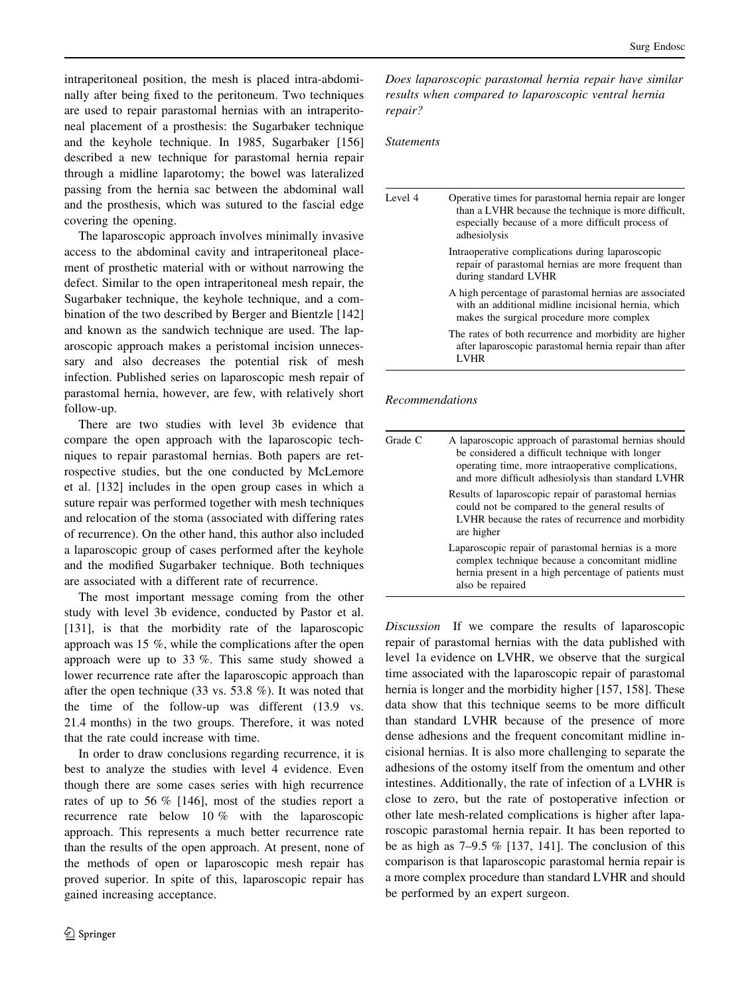intraperitoneal position, the mesh is placed intra-abdominally after being fixed to the peritoneum. Two techniques are used to repair parastomal hernias with an intraperitoneal placement of a prosthesis: the Sugarbaker technique and the keyhole technique. In 1985, Sugarbaker [156] described a new technique for parastomal hernia repair through a midline laparotomy; the bowel was lateralized passing from the hernia sac between the abdominal wall and the prosthesis, which was sutured to the fascial edge covering the opening.

The laparoscopic approach involves minimally invasive access to the abdominal cavity and intraperitoneal placement of prosthetic material with or without narrowing the defect. Similar to the open intraperitoneal mesh repair, the Sugarbaker technique, the keyhole technique, and a combination of the two described by Berger and Bientzle [142] and known as the sandwich technique are used. The laparoscopic approach makes a peristomal incision unnecessary and also decreases the potential risk of mesh infection. Published series on laparoscopic mesh repair of parastomal hernia, however, are few, with relatively short follow-up.

There are two studies with level 3b evidence that compare the open approach with the laparoscopic techniques to repair parastomal hernias. Both papers are retrospective studies, but the one conducted by McLemore et al. [132] includes in the open group cases in which a suture repair was performed together with mesh techniques and relocation of the stoma (associated with differing rates of recurrence). On the other hand, this author also included a laparoscopic group of cases performed after the keyhole and the modified Sugarbaker technique. Both techniques are associated with a different rate of recurrence.

The most important message coming from the other study with level 3b evidence, conducted by Pastor et al. [131], is that the morbidity rate of the laparoscopic approach was 15 %, while the complications after the open approach were up to 33 %. This same study showed a lower recurrence rate after the laparoscopic approach than after the open technique (33 vs. 53.8 %). It was noted that the time of the follow-up was different (13.9 vs. 21.4 months) in the two groups. Therefore, it was noted that the rate could increase with time.

In order to draw conclusions regarding recurrence, it is best to analyze the studies with level 4 evidence. Even though there are some cases series with high recurrence rates of up to 56 % [146], most of the studies report a recurrence rate below 10 % with the laparoscopic approach. This represents a much better recurrence rate than the results of the open approach. At present, none of the methods of open or laparoscopic mesh repair has proved superior. In spite of this, laparoscopic repair has gained increasing acceptance.

Does laparoscopic parastomal hernia repair have similar results when compared to laparoscopic ventral hernia repair?

Statements

| Level 4 | Operative times for parastomal hernia repair are longer<br>than a LVHR because the technique is more difficult,<br>especially because of a more difficult process of<br>adhesiolysis |
|---------|--------------------------------------------------------------------------------------------------------------------------------------------------------------------------------------|
|         | Intraoperative complications during laparoscopic<br>repair of parastomal hernias are more frequent than<br>during standard LVHR                                                      |
|         | A high percentage of parastomal hernias are associated<br>with an additional midline incisional hernia, which<br>makes the surgical procedure more complex                           |
|         | The rates of both recurrence and morbidity are higher<br>after laparoscopic parastomal hernia repair than after<br>LVHR.                                                             |

#### Recommendations

| Grade C | A laparoscopic approach of parastomal hernias should<br>be considered a difficult technique with longer<br>operating time, more intraoperative complications,<br>and more difficult adhesiolysis than standard LVHR |
|---------|---------------------------------------------------------------------------------------------------------------------------------------------------------------------------------------------------------------------|
|         | Results of laparoscopic repair of parastomal hernias<br>could not be compared to the general results of<br>LVHR because the rates of recurrence and morbidity<br>are higher                                         |
|         | Laparoscopic repair of parastomal hernias is a more<br>complex technique because a concomitant midline<br>hernia present in a high percentage of patients must<br>also be repaired                                  |

Discussion If we compare the results of laparoscopic repair of parastomal hernias with the data published with level 1a evidence on LVHR, we observe that the surgical time associated with the laparoscopic repair of parastomal hernia is longer and the morbidity higher [157, 158]. These data show that this technique seems to be more difficult than standard LVHR because of the presence of more dense adhesions and the frequent concomitant midline incisional hernias. It is also more challenging to separate the adhesions of the ostomy itself from the omentum and other intestines. Additionally, the rate of infection of a LVHR is close to zero, but the rate of postoperative infection or other late mesh-related complications is higher after laparoscopic parastomal hernia repair. It has been reported to be as high as  $7-9.5\%$  [137, 141]. The conclusion of this comparison is that laparoscopic parastomal hernia repair is a more complex procedure than standard LVHR and should be performed by an expert surgeon.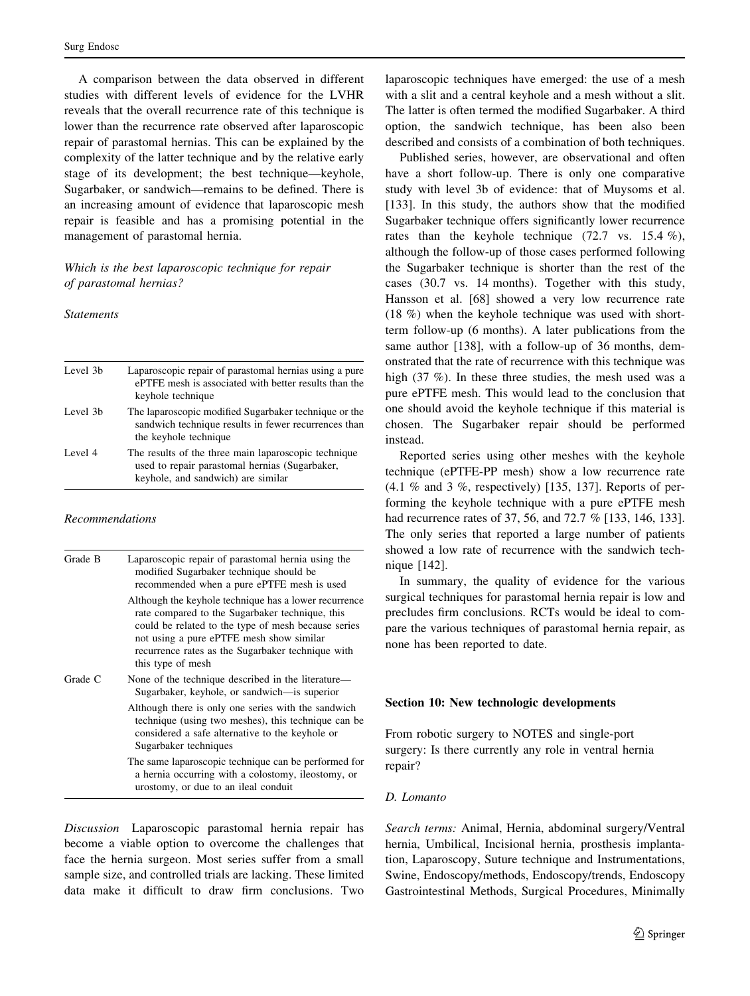A comparison between the data observed in different studies with different levels of evidence for the LVHR reveals that the overall recurrence rate of this technique is lower than the recurrence rate observed after laparoscopic repair of parastomal hernias. This can be explained by the complexity of the latter technique and by the relative early stage of its development; the best technique—keyhole, Sugarbaker, or sandwich—remains to be defined. There is an increasing amount of evidence that laparoscopic mesh repair is feasible and has a promising potential in the management of parastomal hernia.

# Which is the best laparoscopic technique for repair of parastomal hernias?

## Statements

| Level 3b | Laparoscopic repair of parastomal hernias using a pure<br>ePTFE mesh is associated with better results than the<br>keyhole technique         |
|----------|----------------------------------------------------------------------------------------------------------------------------------------------|
| Level 3b | The laparoscopic modified Sugarbaker technique or the<br>sandwich technique results in fewer recurrences than<br>the keyhole technique       |
| Level 4  | The results of the three main laparoscopic technique<br>used to repair parastomal hernias (Sugarbaker,<br>keyhole, and sandwich) are similar |

#### Recommendations

| Grade B | Laparoscopic repair of parastomal hernia using the<br>modified Sugarbaker technique should be<br>recommended when a pure ePTFE mesh is used                                                                                                                                           |
|---------|---------------------------------------------------------------------------------------------------------------------------------------------------------------------------------------------------------------------------------------------------------------------------------------|
|         | Although the keyhole technique has a lower recurrence<br>rate compared to the Sugarbaker technique, this<br>could be related to the type of mesh because series<br>not using a pure ePTFE mesh show similar<br>recurrence rates as the Sugarbaker technique with<br>this type of mesh |
| Grade C | None of the technique described in the literature—<br>Sugarbaker, keyhole, or sandwich—is superior                                                                                                                                                                                    |
|         | Although there is only one series with the sandwich<br>technique (using two meshes), this technique can be<br>considered a safe alternative to the keyhole or<br>Sugarbaker techniques                                                                                                |
|         | The same laparoscopic technique can be performed for<br>a hernia occurring with a colostomy, ileostomy, or<br>urostomy, or due to an ileal conduit                                                                                                                                    |

Discussion Laparoscopic parastomal hernia repair has become a viable option to overcome the challenges that face the hernia surgeon. Most series suffer from a small sample size, and controlled trials are lacking. These limited data make it difficult to draw firm conclusions. Two laparoscopic techniques have emerged: the use of a mesh with a slit and a central keyhole and a mesh without a slit. The latter is often termed the modified Sugarbaker. A third option, the sandwich technique, has been also been described and consists of a combination of both techniques.

Published series, however, are observational and often have a short follow-up. There is only one comparative study with level 3b of evidence: that of Muysoms et al. [133]. In this study, the authors show that the modified Sugarbaker technique offers significantly lower recurrence rates than the keyhole technique  $(72.7 \text{ vs. } 15.4 \%)$ , although the follow-up of those cases performed following the Sugarbaker technique is shorter than the rest of the cases (30.7 vs. 14 months). Together with this study, Hansson et al. [68] showed a very low recurrence rate (18 %) when the keyhole technique was used with shortterm follow-up (6 months). A later publications from the same author [138], with a follow-up of 36 months, demonstrated that the rate of recurrence with this technique was high (37 %). In these three studies, the mesh used was a pure ePTFE mesh. This would lead to the conclusion that one should avoid the keyhole technique if this material is chosen. The Sugarbaker repair should be performed instead.

Reported series using other meshes with the keyhole technique (ePTFE-PP mesh) show a low recurrence rate (4.1 % and 3 %, respectively) [135, 137]. Reports of performing the keyhole technique with a pure ePTFE mesh had recurrence rates of 37, 56, and 72.7 % [133, 146, 133]. The only series that reported a large number of patients showed a low rate of recurrence with the sandwich technique [142].

In summary, the quality of evidence for the various surgical techniques for parastomal hernia repair is low and precludes firm conclusions. RCTs would be ideal to compare the various techniques of parastomal hernia repair, as none has been reported to date.

#### Section 10: New technologic developments

From robotic surgery to NOTES and single-port surgery: Is there currently any role in ventral hernia repair?

## D. Lomanto

Search terms: Animal, Hernia, abdominal surgery/Ventral hernia, Umbilical, Incisional hernia, prosthesis implantation, Laparoscopy, Suture technique and Instrumentations, Swine, Endoscopy/methods, Endoscopy/trends, Endoscopy Gastrointestinal Methods, Surgical Procedures, Minimally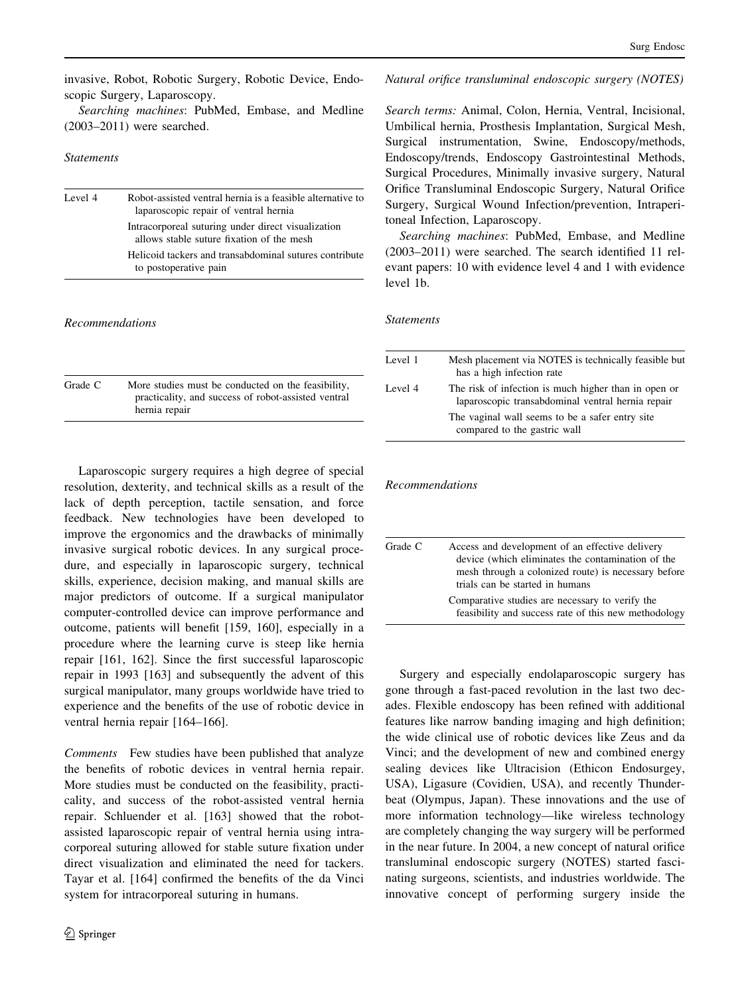invasive, Robot, Robotic Surgery, Robotic Device, Endoscopic Surgery, Laparoscopy.

Searching machines: PubMed, Embase, and Medline (2003–2011) were searched.

## Statements

| Level 4 | Robot-assisted ventral hernia is a feasible alternative to<br>laparoscopic repair of ventral hernia |
|---------|-----------------------------------------------------------------------------------------------------|
|         | Intracorporeal suturing under direct visualization<br>allows stable suture fixation of the mesh     |
|         | Helicoid tackers and transabdominal sutures contribute<br>to postoperative pain                     |

## Recommendations

| Grade C | More studies must be conducted on the feasibility,<br>practicality, and success of robot-assisted ventral |
|---------|-----------------------------------------------------------------------------------------------------------|
|         | hernia repair                                                                                             |

Laparoscopic surgery requires a high degree of special resolution, dexterity, and technical skills as a result of the lack of depth perception, tactile sensation, and force feedback. New technologies have been developed to improve the ergonomics and the drawbacks of minimally invasive surgical robotic devices. In any surgical procedure, and especially in laparoscopic surgery, technical skills, experience, decision making, and manual skills are major predictors of outcome. If a surgical manipulator computer-controlled device can improve performance and outcome, patients will benefit [159, 160], especially in a procedure where the learning curve is steep like hernia repair [161, 162]. Since the first successful laparoscopic repair in 1993 [163] and subsequently the advent of this surgical manipulator, many groups worldwide have tried to experience and the benefits of the use of robotic device in ventral hernia repair [164–166].

Comments Few studies have been published that analyze the benefits of robotic devices in ventral hernia repair. More studies must be conducted on the feasibility, practicality, and success of the robot-assisted ventral hernia repair. Schluender et al. [163] showed that the robotassisted laparoscopic repair of ventral hernia using intracorporeal suturing allowed for stable suture fixation under direct visualization and eliminated the need for tackers. Tayar et al. [164] confirmed the benefits of the da Vinci system for intracorporeal suturing in humans.

## Natural orifice transluminal endoscopic surgery (NOTES)

Search terms: Animal, Colon, Hernia, Ventral, Incisional, Umbilical hernia, Prosthesis Implantation, Surgical Mesh, Surgical instrumentation, Swine, Endoscopy/methods, Endoscopy/trends, Endoscopy Gastrointestinal Methods, Surgical Procedures, Minimally invasive surgery, Natural Orifice Transluminal Endoscopic Surgery, Natural Orifice Surgery, Surgical Wound Infection/prevention, Intraperitoneal Infection, Laparoscopy.

Searching machines: PubMed, Embase, and Medline (2003–2011) were searched. The search identified 11 relevant papers: 10 with evidence level 4 and 1 with evidence level 1b.

# Statements

| Level 1 | Mesh placement via NOTES is technically feasible but<br>has a high infection rate                         |
|---------|-----------------------------------------------------------------------------------------------------------|
| Level 4 | The risk of infection is much higher than in open or<br>laparoscopic transabdominal ventral hernia repair |
|         | The vaginal wall seems to be a safer entry site<br>compared to the gastric wall                           |

## Recommendations

| Grade C | Access and development of an effective delivery<br>device (which eliminates the contamination of the<br>mesh through a colonized route) is necessary before<br>trials can be started in humans |
|---------|------------------------------------------------------------------------------------------------------------------------------------------------------------------------------------------------|
|         | Comparative studies are necessary to verify the<br>feasibility and success rate of this new methodology                                                                                        |

Surgery and especially endolaparoscopic surgery has gone through a fast-paced revolution in the last two decades. Flexible endoscopy has been refined with additional features like narrow banding imaging and high definition; the wide clinical use of robotic devices like Zeus and da Vinci; and the development of new and combined energy sealing devices like Ultracision (Ethicon Endosurgey, USA), Ligasure (Covidien, USA), and recently Thunderbeat (Olympus, Japan). These innovations and the use of more information technology—like wireless technology are completely changing the way surgery will be performed in the near future. In 2004, a new concept of natural orifice transluminal endoscopic surgery (NOTES) started fascinating surgeons, scientists, and industries worldwide. The innovative concept of performing surgery inside the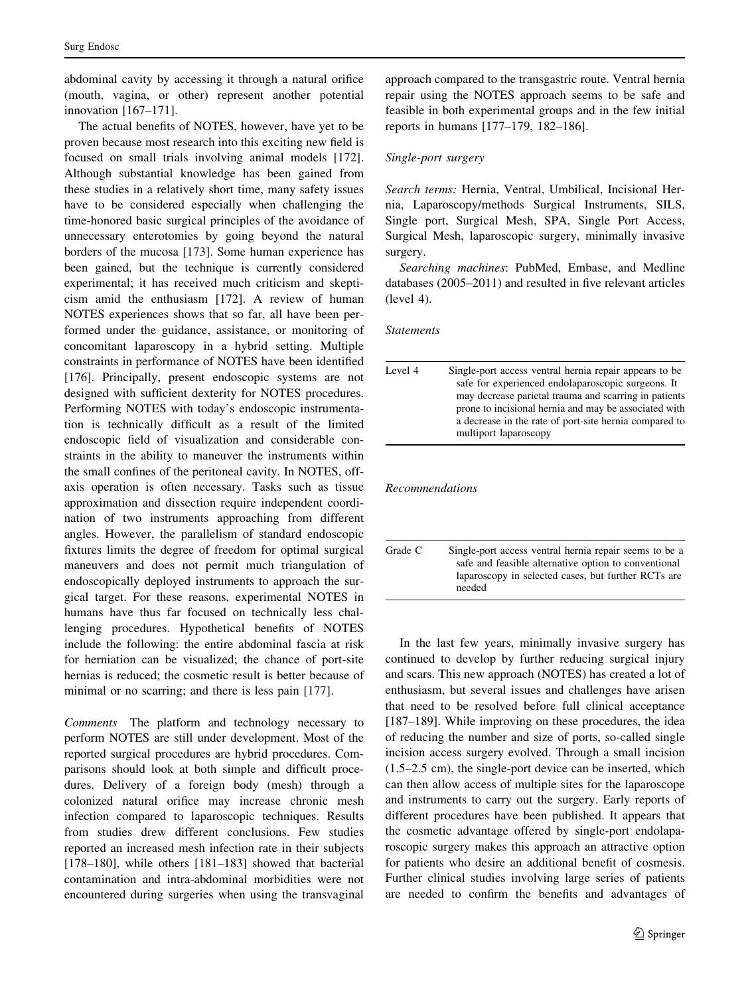abdominal cavity by accessing it through a natural orifice (mouth, vagina, or other) represent another potential innovation [167–171].

The actual benefits of NOTES, however, have yet to be proven because most research into this exciting new field is focused on small trials involving animal models [172]. Although substantial knowledge has been gained from these studies in a relatively short time, many safety issues have to be considered especially when challenging the time-honored basic surgical principles of the avoidance of unnecessary enterotomies by going beyond the natural borders of the mucosa [173]. Some human experience has been gained, but the technique is currently considered experimental; it has received much criticism and skepticism amid the enthusiasm [172]. A review of human NOTES experiences shows that so far, all have been performed under the guidance, assistance, or monitoring of concomitant laparoscopy in a hybrid setting. Multiple constraints in performance of NOTES have been identified [176]. Principally, present endoscopic systems are not designed with sufficient dexterity for NOTES procedures. Performing NOTES with today's endoscopic instrumentation is technically difficult as a result of the limited endoscopic field of visualization and considerable constraints in the ability to maneuver the instruments within the small confines of the peritoneal cavity. In NOTES, offaxis operation is often necessary. Tasks such as tissue approximation and dissection require independent coordination of two instruments approaching from different angles. However, the parallelism of standard endoscopic fixtures limits the degree of freedom for optimal surgical maneuvers and does not permit much triangulation of endoscopically deployed instruments to approach the surgical target. For these reasons, experimental NOTES in humans have thus far focused on technically less challenging procedures. Hypothetical benefits of NOTES include the following: the entire abdominal fascia at risk for herniation can be visualized; the chance of port-site hernias is reduced; the cosmetic result is better because of minimal or no scarring; and there is less pain [177].

Comments The platform and technology necessary to perform NOTES are still under development. Most of the reported surgical procedures are hybrid procedures. Comparisons should look at both simple and difficult procedures. Delivery of a foreign body (mesh) through a colonized natural orifice may increase chronic mesh infection compared to laparoscopic techniques. Results from studies drew different conclusions. Few studies reported an increased mesh infection rate in their subjects [178–180], while others [181–183] showed that bacterial contamination and intra-abdominal morbidities were not encountered during surgeries when using the transvaginal approach compared to the transgastric route. Ventral hernia repair using the NOTES approach seems to be safe and feasible in both experimental groups and in the few initial reports in humans [177–179, 182–186].

## Single-port surgery

Search terms: Hernia, Ventral, Umbilical, Incisional Hernia, Laparoscopy/methods Surgical Instruments, SILS, Single port, Surgical Mesh, SPA, Single Port Access, Surgical Mesh, laparoscopic surgery, minimally invasive surgery.

Searching machines: PubMed, Embase, and Medline databases (2005–2011) and resulted in five relevant articles (level 4).

Statements

| Level 4 | Single-port access ventral hernia repair appears to be<br>safe for experienced endolaparoscopic surgeons. It<br>may decrease parietal trauma and scarring in patients<br>prone to incisional hernia and may be associated with<br>a decrease in the rate of port-site hernia compared to |
|---------|------------------------------------------------------------------------------------------------------------------------------------------------------------------------------------------------------------------------------------------------------------------------------------------|
|         | multiport laparoscopy                                                                                                                                                                                                                                                                    |
|         |                                                                                                                                                                                                                                                                                          |

Recommendations

| Grade C | Single-port access ventral hernia repair seems to be a |
|---------|--------------------------------------------------------|
|         | safe and feasible alternative option to conventional   |
|         | laparoscopy in selected cases, but further RCTs are    |
|         | needed                                                 |

In the last few years, minimally invasive surgery has continued to develop by further reducing surgical injury and scars. This new approach (NOTES) has created a lot of enthusiasm, but several issues and challenges have arisen that need to be resolved before full clinical acceptance [187–189]. While improving on these procedures, the idea of reducing the number and size of ports, so-called single incision access surgery evolved. Through a small incision (1.5–2.5 cm), the single-port device can be inserted, which can then allow access of multiple sites for the laparoscope and instruments to carry out the surgery. Early reports of different procedures have been published. It appears that the cosmetic advantage offered by single-port endolaparoscopic surgery makes this approach an attractive option for patients who desire an additional benefit of cosmesis. Further clinical studies involving large series of patients are needed to confirm the benefits and advantages of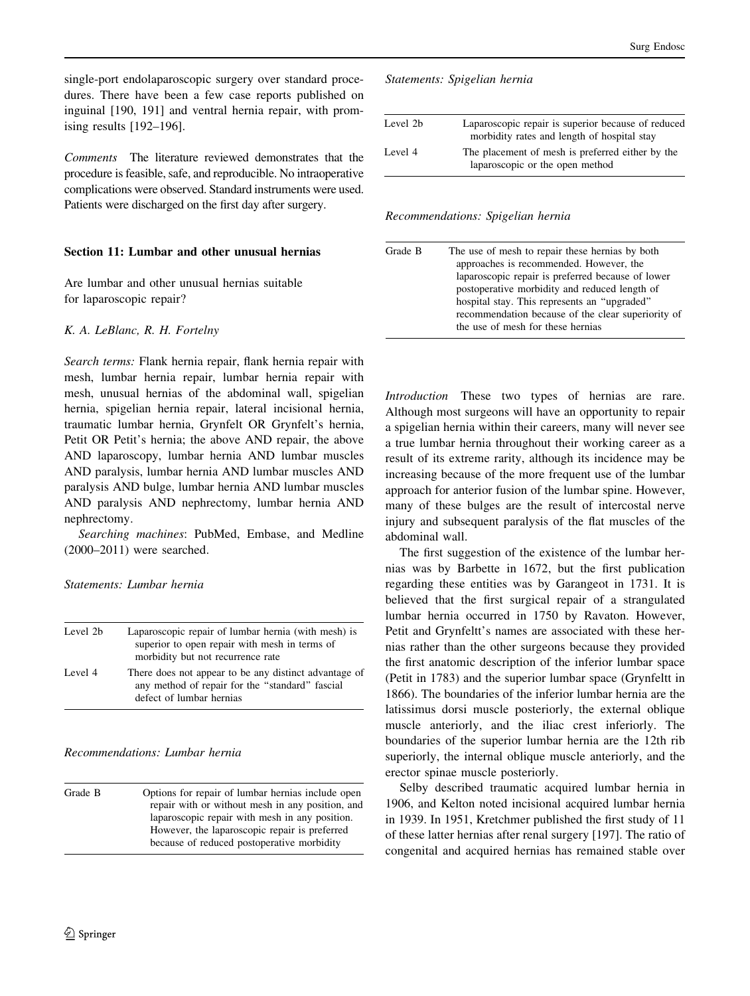single-port endolaparoscopic surgery over standard procedures. There have been a few case reports published on inguinal [190, 191] and ventral hernia repair, with promising results [192–196].

Comments The literature reviewed demonstrates that the procedure is feasible, safe, and reproducible. No intraoperative complications were observed. Standard instruments were used. Patients were discharged on the first day after surgery.

## Section 11: Lumbar and other unusual hernias

Are lumbar and other unusual hernias suitable for laparoscopic repair?

# K. A. LeBlanc, R. H. Fortelny

Search terms: Flank hernia repair, flank hernia repair with mesh, lumbar hernia repair, lumbar hernia repair with mesh, unusual hernias of the abdominal wall, spigelian hernia, spigelian hernia repair, lateral incisional hernia, traumatic lumbar hernia, Grynfelt OR Grynfelt's hernia, Petit OR Petit's hernia; the above AND repair, the above AND laparoscopy, lumbar hernia AND lumbar muscles AND paralysis, lumbar hernia AND lumbar muscles AND paralysis AND bulge, lumbar hernia AND lumbar muscles AND paralysis AND nephrectomy, lumbar hernia AND nephrectomy.

Searching machines: PubMed, Embase, and Medline (2000–2011) were searched.

## Statements: Lumbar hernia

| Level 2b | Laparoscopic repair of lumbar hernia (with mesh) is<br>superior to open repair with mesh in terms of<br>morbidity but not recurrence rate |
|----------|-------------------------------------------------------------------------------------------------------------------------------------------|
| Level 4  | There does not appear to be any distinct advantage of<br>any method of repair for the "standard" fascial<br>defect of lumbar hernias      |

Recommendations: Lumbar hernia

Grade B Options for repair of lumbar hernias include open repair with or without mesh in any position, and laparoscopic repair with mesh in any position. However, the laparoscopic repair is preferred because of reduced postoperative morbidity

Statements: Spigelian hernia

| Level 2b | Laparoscopic repair is superior because of reduced<br>morbidity rates and length of hospital stay |
|----------|---------------------------------------------------------------------------------------------------|
| Level 4  | The placement of mesh is preferred either by the<br>laparoscopic or the open method               |

Recommendations: Spigelian hernia

| Grade B | The use of mesh to repair these hernias by both<br>approaches is recommended. However, the                                                                                                                                                    |
|---------|-----------------------------------------------------------------------------------------------------------------------------------------------------------------------------------------------------------------------------------------------|
|         | laparoscopic repair is preferred because of lower<br>postoperative morbidity and reduced length of<br>hospital stay. This represents an "upgraded"<br>recommendation because of the clear superiority of<br>the use of mesh for these hernias |

Introduction These two types of hernias are rare. Although most surgeons will have an opportunity to repair a spigelian hernia within their careers, many will never see a true lumbar hernia throughout their working career as a result of its extreme rarity, although its incidence may be increasing because of the more frequent use of the lumbar approach for anterior fusion of the lumbar spine. However, many of these bulges are the result of intercostal nerve injury and subsequent paralysis of the flat muscles of the abdominal wall.

The first suggestion of the existence of the lumbar hernias was by Barbette in 1672, but the first publication regarding these entities was by Garangeot in 1731. It is believed that the first surgical repair of a strangulated lumbar hernia occurred in 1750 by Ravaton. However, Petit and Grynfeltt's names are associated with these hernias rather than the other surgeons because they provided the first anatomic description of the inferior lumbar space (Petit in 1783) and the superior lumbar space (Grynfeltt in 1866). The boundaries of the inferior lumbar hernia are the latissimus dorsi muscle posteriorly, the external oblique muscle anteriorly, and the iliac crest inferiorly. The boundaries of the superior lumbar hernia are the 12th rib superiorly, the internal oblique muscle anteriorly, and the erector spinae muscle posteriorly.

Selby described traumatic acquired lumbar hernia in 1906, and Kelton noted incisional acquired lumbar hernia in 1939. In 1951, Kretchmer published the first study of 11 of these latter hernias after renal surgery [197]. The ratio of congenital and acquired hernias has remained stable over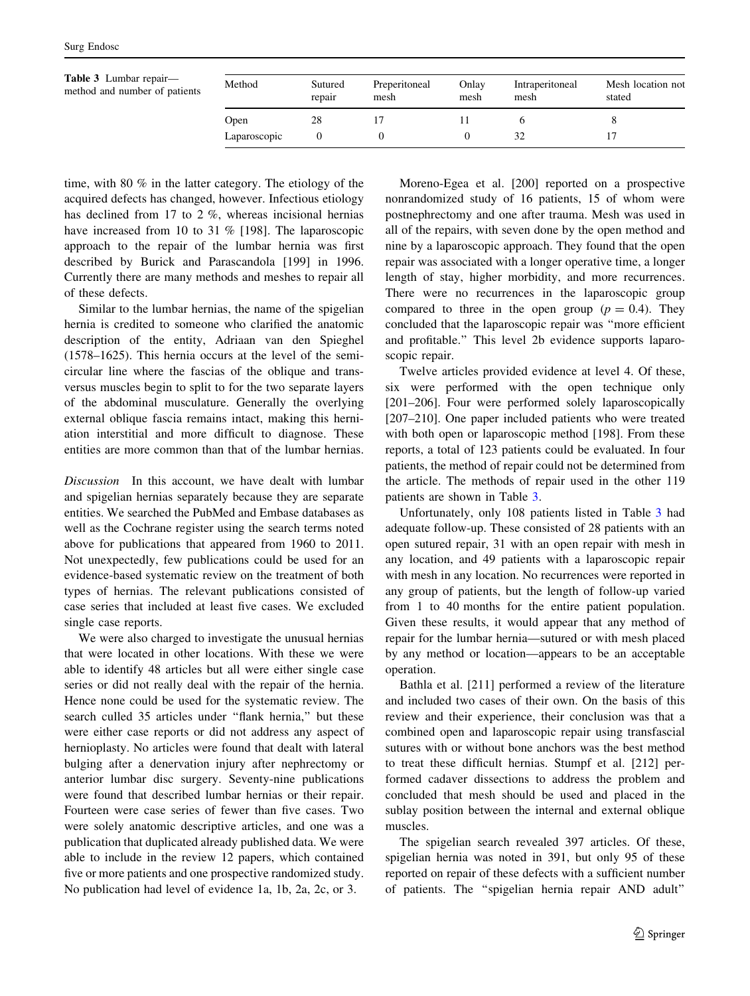Table 3 Lumbar repair method and number of patients

| Method       | Sutured<br>repair | Preperitoneal<br>mesh | Onlay<br>mesh | Intraperitoneal<br>mesh | Mesh location not<br>stated |
|--------------|-------------------|-----------------------|---------------|-------------------------|-----------------------------|
| Open         | 28                |                       |               |                         |                             |
| Laparoscopic |                   |                       |               | 32                      |                             |

time, with 80 % in the latter category. The etiology of the acquired defects has changed, however. Infectious etiology has declined from 17 to 2 %, whereas incisional hernias have increased from 10 to 31 % [198]. The laparoscopic approach to the repair of the lumbar hernia was first described by Burick and Parascandola [199] in 1996. Currently there are many methods and meshes to repair all of these defects.

Similar to the lumbar hernias, the name of the spigelian hernia is credited to someone who clarified the anatomic description of the entity, Adriaan van den Spieghel (1578–1625). This hernia occurs at the level of the semicircular line where the fascias of the oblique and transversus muscles begin to split to for the two separate layers of the abdominal musculature. Generally the overlying external oblique fascia remains intact, making this herniation interstitial and more difficult to diagnose. These entities are more common than that of the lumbar hernias.

Discussion In this account, we have dealt with lumbar and spigelian hernias separately because they are separate entities. We searched the PubMed and Embase databases as well as the Cochrane register using the search terms noted above for publications that appeared from 1960 to 2011. Not unexpectedly, few publications could be used for an evidence-based systematic review on the treatment of both types of hernias. The relevant publications consisted of case series that included at least five cases. We excluded single case reports.

We were also charged to investigate the unusual hernias that were located in other locations. With these we were able to identify 48 articles but all were either single case series or did not really deal with the repair of the hernia. Hence none could be used for the systematic review. The search culled 35 articles under "flank hernia," but these were either case reports or did not address any aspect of hernioplasty. No articles were found that dealt with lateral bulging after a denervation injury after nephrectomy or anterior lumbar disc surgery. Seventy-nine publications were found that described lumbar hernias or their repair. Fourteen were case series of fewer than five cases. Two were solely anatomic descriptive articles, and one was a publication that duplicated already published data. We were able to include in the review 12 papers, which contained five or more patients and one prospective randomized study. No publication had level of evidence 1a, 1b, 2a, 2c, or 3.

Moreno-Egea et al. [200] reported on a prospective nonrandomized study of 16 patients, 15 of whom were postnephrectomy and one after trauma. Mesh was used in all of the repairs, with seven done by the open method and nine by a laparoscopic approach. They found that the open repair was associated with a longer operative time, a longer length of stay, higher morbidity, and more recurrences. There were no recurrences in the laparoscopic group compared to three in the open group  $(p = 0.4)$ . They concluded that the laparoscopic repair was ''more efficient and profitable.'' This level 2b evidence supports laparoscopic repair.

Twelve articles provided evidence at level 4. Of these, six were performed with the open technique only [201–206]. Four were performed solely laparoscopically [207–210]. One paper included patients who were treated with both open or laparoscopic method [198]. From these reports, a total of 123 patients could be evaluated. In four patients, the method of repair could not be determined from the article. The methods of repair used in the other 119 patients are shown in Table 3.

Unfortunately, only 108 patients listed in Table 3 had adequate follow-up. These consisted of 28 patients with an open sutured repair, 31 with an open repair with mesh in any location, and 49 patients with a laparoscopic repair with mesh in any location. No recurrences were reported in any group of patients, but the length of follow-up varied from 1 to 40 months for the entire patient population. Given these results, it would appear that any method of repair for the lumbar hernia—sutured or with mesh placed by any method or location—appears to be an acceptable operation.

Bathla et al. [211] performed a review of the literature and included two cases of their own. On the basis of this review and their experience, their conclusion was that a combined open and laparoscopic repair using transfascial sutures with or without bone anchors was the best method to treat these difficult hernias. Stumpf et al. [212] performed cadaver dissections to address the problem and concluded that mesh should be used and placed in the sublay position between the internal and external oblique muscles.

The spigelian search revealed 397 articles. Of these, spigelian hernia was noted in 391, but only 95 of these reported on repair of these defects with a sufficient number of patients. The ''spigelian hernia repair AND adult''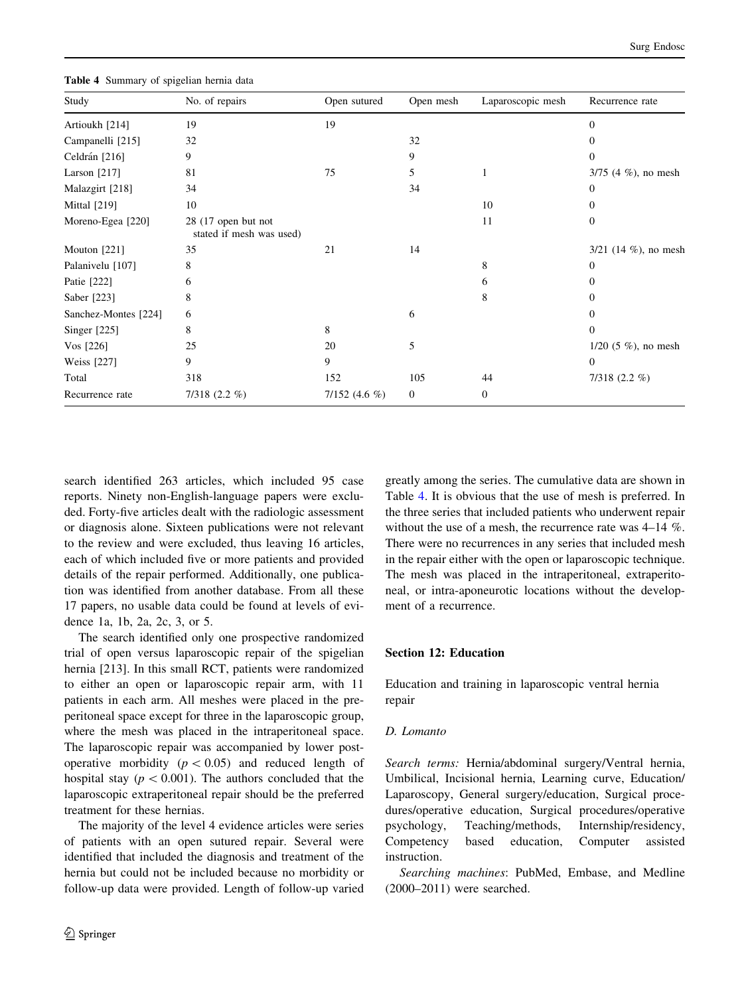| Study                | No. of repairs                                    | Open sutured   | Open mesh    | Laparoscopic mesh | Recurrence rate        |
|----------------------|---------------------------------------------------|----------------|--------------|-------------------|------------------------|
| Artioukh [214]       | 19                                                | 19             |              |                   | $\Omega$               |
| Campanelli [215]     | 32                                                |                | 32           |                   | $\Omega$               |
| Celdrán [216]        | 9                                                 |                | 9            |                   | $\mathbf{0}$           |
| Larson $[217]$       | 81                                                | 75             | 5            | 1                 | $3/75$ (4 %), no mesh  |
| Malazgirt [218]      | 34                                                |                | 34           |                   | $\mathbf{0}$           |
| Mittal [219]         | 10                                                |                |              | 10                | $\Omega$               |
| Moreno-Egea [220]    | $28(17)$ open but not<br>stated if mesh was used) |                |              | 11                | $\mathbf{0}$           |
| Mouton $[221]$       | 35                                                | 21             | 14           |                   | $3/21$ (14 %), no mesh |
| Palanivelu [107]     | 8                                                 |                |              | 8                 | $\overline{0}$         |
| Patie [222]          | 6                                                 |                |              | 6                 | $\Omega$               |
| Saber [223]          | 8                                                 |                |              | 8                 | $\Omega$               |
| Sanchez-Montes [224] | 6                                                 |                | 6            |                   | $\Omega$               |
| Singer [225]         | 8                                                 | 8              |              |                   | $\Omega$               |
| Vos [226]            | 25                                                | 20             | 5            |                   | $1/20$ (5 %), no mesh  |
| Weiss [227]          | 9                                                 | 9              |              |                   | $\Omega$               |
| Total                | 318                                               | 152            | 105          | 44                | 7/318 (2.2 %)          |
| Recurrence rate      | $7/318$ (2.2 %)                                   | $7/152(4.6\%)$ | $\mathbf{0}$ | $\boldsymbol{0}$  |                        |

Table 4 Summary of spigelian hernia data

search identified 263 articles, which included 95 case reports. Ninety non-English-language papers were excluded. Forty-five articles dealt with the radiologic assessment or diagnosis alone. Sixteen publications were not relevant to the review and were excluded, thus leaving 16 articles, each of which included five or more patients and provided details of the repair performed. Additionally, one publication was identified from another database. From all these 17 papers, no usable data could be found at levels of evidence 1a, 1b, 2a, 2c, 3, or 5.

The search identified only one prospective randomized trial of open versus laparoscopic repair of the spigelian hernia [213]. In this small RCT, patients were randomized to either an open or laparoscopic repair arm, with 11 patients in each arm. All meshes were placed in the preperitoneal space except for three in the laparoscopic group, where the mesh was placed in the intraperitoneal space. The laparoscopic repair was accompanied by lower postoperative morbidity ( $p < 0.05$ ) and reduced length of hospital stay ( $p < 0.001$ ). The authors concluded that the laparoscopic extraperitoneal repair should be the preferred treatment for these hernias.

The majority of the level 4 evidence articles were series of patients with an open sutured repair. Several were identified that included the diagnosis and treatment of the hernia but could not be included because no morbidity or follow-up data were provided. Length of follow-up varied

greatly among the series. The cumulative data are shown in Table 4. It is obvious that the use of mesh is preferred. In the three series that included patients who underwent repair without the use of a mesh, the recurrence rate was  $4-14\%$ . There were no recurrences in any series that included mesh in the repair either with the open or laparoscopic technique. The mesh was placed in the intraperitoneal, extraperitoneal, or intra-aponeurotic locations without the development of a recurrence.

## Section 12: Education

Education and training in laparoscopic ventral hernia repair

## D. Lomanto

Search terms: Hernia/abdominal surgery/Ventral hernia, Umbilical, Incisional hernia, Learning curve, Education/ Laparoscopy, General surgery/education, Surgical procedures/operative education, Surgical procedures/operative psychology, Teaching/methods, Internship/residency, Competency based education, Computer assisted instruction.

Searching machines: PubMed, Embase, and Medline (2000–2011) were searched.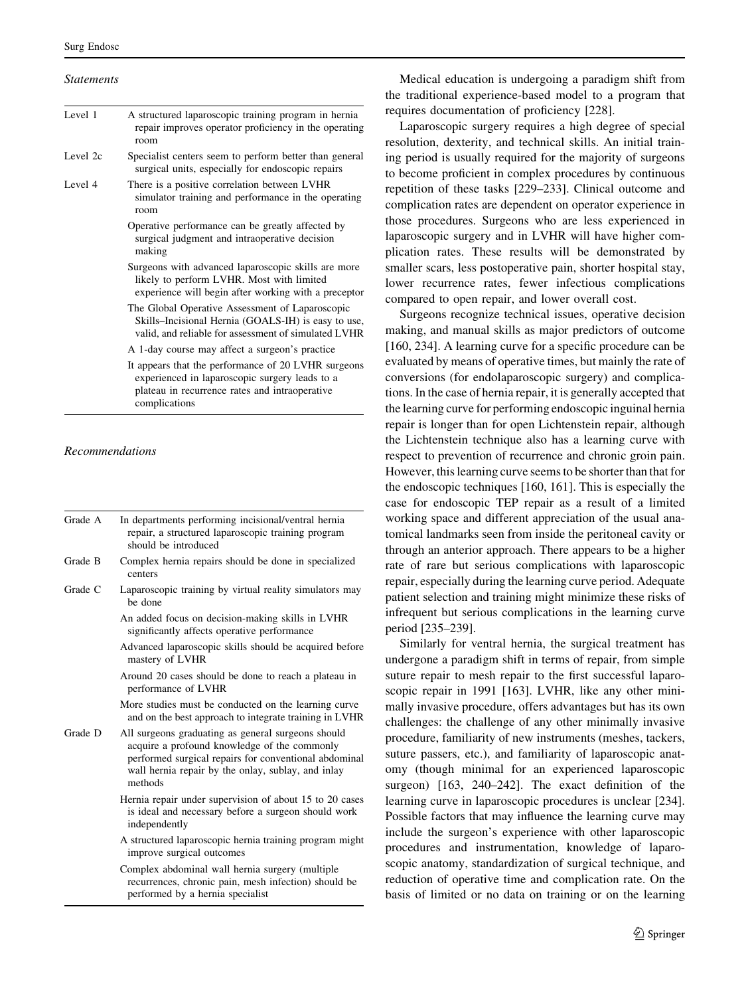#### **Statements**

| Level 1  | A structured laparoscopic training program in hernia<br>repair improves operator proficiency in the operating<br>room                                          |  |  |  |  |  |
|----------|----------------------------------------------------------------------------------------------------------------------------------------------------------------|--|--|--|--|--|
| Level 2c | Specialist centers seem to perform better than general<br>surgical units, especially for endoscopic repairs                                                    |  |  |  |  |  |
| Level 4  | There is a positive correlation between LVHR<br>simulator training and performance in the operating<br>room                                                    |  |  |  |  |  |
|          | Operative performance can be greatly affected by<br>surgical judgment and intraoperative decision<br>making                                                    |  |  |  |  |  |
|          | Surgeons with advanced laparoscopic skills are more<br>likely to perform LVHR. Most with limited<br>experience will begin after working with a preceptor       |  |  |  |  |  |
|          | The Global Operative Assessment of Laparoscopic<br>Skills–Incisional Hernia (GOALS-IH) is easy to use,<br>valid, and reliable for assessment of simulated LVHR |  |  |  |  |  |
|          | A 1-day course may affect a surgeon's practice                                                                                                                 |  |  |  |  |  |
|          | It appears that the performance of 20 LVHR surgeons<br>experienced in laparoscopic surgery leads to a<br>plateau in recurrence rates and intraoperative        |  |  |  |  |  |

Recommendations

complications

| Grade A | In departments performing incisional/ventral hernia<br>repair, a structured laparoscopic training program<br>should be introduced                                                                                            |
|---------|------------------------------------------------------------------------------------------------------------------------------------------------------------------------------------------------------------------------------|
| Grade B | Complex hernia repairs should be done in specialized<br>centers                                                                                                                                                              |
| Grade C | Laparoscopic training by virtual reality simulators may<br>be done                                                                                                                                                           |
|         | An added focus on decision-making skills in LVHR<br>significantly affects operative performance                                                                                                                              |
|         | Advanced laparoscopic skills should be acquired before<br>mastery of LVHR                                                                                                                                                    |
|         | Around 20 cases should be done to reach a plateau in<br>performance of LVHR                                                                                                                                                  |
|         | More studies must be conducted on the learning curve<br>and on the best approach to integrate training in LVHR                                                                                                               |
| Grade D | All surgeons graduating as general surgeons should<br>acquire a profound knowledge of the commonly<br>performed surgical repairs for conventional abdominal<br>wall hernia repair by the onlay, sublay, and inlay<br>methods |
|         | Hernia repair under supervision of about 15 to 20 cases<br>is ideal and necessary before a surgeon should work<br>independently                                                                                              |
|         | A structured laparoscopic hernia training program might<br>improve surgical outcomes                                                                                                                                         |
|         | Complex abdominal wall hernia surgery (multiple<br>recurrences, chronic pain, mesh infection) should be                                                                                                                      |

performed by a hernia specialist

Medical education is undergoing a paradigm shift from the traditional experience-based model to a program that requires documentation of proficiency [228].

Laparoscopic surgery requires a high degree of special resolution, dexterity, and technical skills. An initial training period is usually required for the majority of surgeons to become proficient in complex procedures by continuous repetition of these tasks [229–233]. Clinical outcome and complication rates are dependent on operator experience in those procedures. Surgeons who are less experienced in laparoscopic surgery and in LVHR will have higher complication rates. These results will be demonstrated by smaller scars, less postoperative pain, shorter hospital stay, lower recurrence rates, fewer infectious complications compared to open repair, and lower overall cost.

Surgeons recognize technical issues, operative decision making, and manual skills as major predictors of outcome [160, 234]. A learning curve for a specific procedure can be evaluated by means of operative times, but mainly the rate of conversions (for endolaparoscopic surgery) and complications. In the case of hernia repair, it is generally accepted that the learning curve for performing endoscopic inguinal hernia repair is longer than for open Lichtenstein repair, although the Lichtenstein technique also has a learning curve with respect to prevention of recurrence and chronic groin pain. However, this learning curve seems to be shorter than that for the endoscopic techniques [160, 161]. This is especially the case for endoscopic TEP repair as a result of a limited working space and different appreciation of the usual anatomical landmarks seen from inside the peritoneal cavity or through an anterior approach. There appears to be a higher rate of rare but serious complications with laparoscopic repair, especially during the learning curve period. Adequate patient selection and training might minimize these risks of infrequent but serious complications in the learning curve period [235–239].

Similarly for ventral hernia, the surgical treatment has undergone a paradigm shift in terms of repair, from simple suture repair to mesh repair to the first successful laparoscopic repair in 1991 [163]. LVHR, like any other minimally invasive procedure, offers advantages but has its own challenges: the challenge of any other minimally invasive procedure, familiarity of new instruments (meshes, tackers, suture passers, etc.), and familiarity of laparoscopic anatomy (though minimal for an experienced laparoscopic surgeon) [163, 240–242]. The exact definition of the learning curve in laparoscopic procedures is unclear [234]. Possible factors that may influence the learning curve may include the surgeon's experience with other laparoscopic procedures and instrumentation, knowledge of laparoscopic anatomy, standardization of surgical technique, and reduction of operative time and complication rate. On the basis of limited or no data on training or on the learning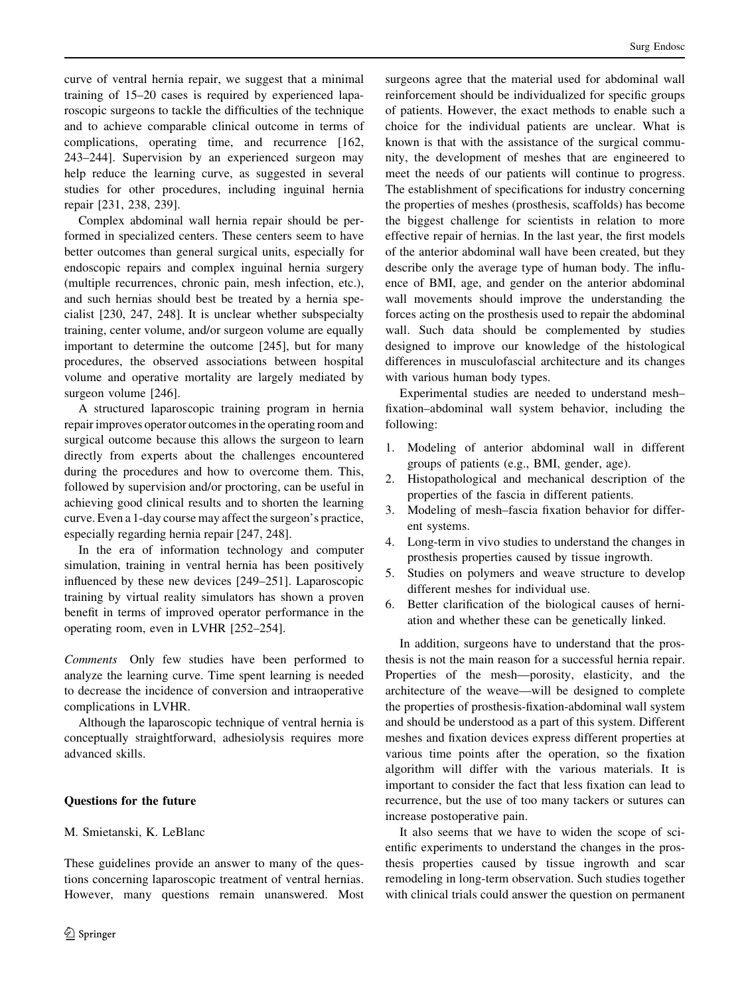curve of ventral hernia repair, we suggest that a minimal training of 15–20 cases is required by experienced laparoscopic surgeons to tackle the difficulties of the technique and to achieve comparable clinical outcome in terms of complications, operating time, and recurrence [162, 243–244]. Supervision by an experienced surgeon may help reduce the learning curve, as suggested in several studies for other procedures, including inguinal hernia repair [231, 238, 239].

Complex abdominal wall hernia repair should be performed in specialized centers. These centers seem to have better outcomes than general surgical units, especially for endoscopic repairs and complex inguinal hernia surgery (multiple recurrences, chronic pain, mesh infection, etc.), and such hernias should best be treated by a hernia specialist [230, 247, 248]. It is unclear whether subspecialty training, center volume, and/or surgeon volume are equally important to determine the outcome [245], but for many procedures, the observed associations between hospital volume and operative mortality are largely mediated by surgeon volume [246].

A structured laparoscopic training program in hernia repair improves operator outcomes in the operating room and surgical outcome because this allows the surgeon to learn directly from experts about the challenges encountered during the procedures and how to overcome them. This, followed by supervision and/or proctoring, can be useful in achieving good clinical results and to shorten the learning curve. Even a 1-day course may affect the surgeon's practice, especially regarding hernia repair [247, 248].

In the era of information technology and computer simulation, training in ventral hernia has been positively influenced by these new devices [249–251]. Laparoscopic training by virtual reality simulators has shown a proven benefit in terms of improved operator performance in the operating room, even in LVHR [252–254].

Comments Only few studies have been performed to analyze the learning curve. Time spent learning is needed to decrease the incidence of conversion and intraoperative complications in LVHR.

Although the laparoscopic technique of ventral hernia is conceptually straightforward, adhesiolysis requires more advanced skills.

# Questions for the future

# M. Smietanski, K. LeBlanc

These guidelines provide an answer to many of the questions concerning laparoscopic treatment of ventral hernias. However, many questions remain unanswered. Most surgeons agree that the material used for abdominal wall reinforcement should be individualized for specific groups of patients. However, the exact methods to enable such a choice for the individual patients are unclear. What is known is that with the assistance of the surgical community, the development of meshes that are engineered to meet the needs of our patients will continue to progress. The establishment of specifications for industry concerning the properties of meshes (prosthesis, scaffolds) has become the biggest challenge for scientists in relation to more effective repair of hernias. In the last year, the first models of the anterior abdominal wall have been created, but they describe only the average type of human body. The influence of BMI, age, and gender on the anterior abdominal wall movements should improve the understanding the forces acting on the prosthesis used to repair the abdominal wall. Such data should be complemented by studies designed to improve our knowledge of the histological differences in musculofascial architecture and its changes with various human body types.

Experimental studies are needed to understand mesh– fixation–abdominal wall system behavior, including the following:

- 1. Modeling of anterior abdominal wall in different groups of patients (e.g., BMI, gender, age).
- 2. Histopathological and mechanical description of the properties of the fascia in different patients.
- 3. Modeling of mesh–fascia fixation behavior for different systems.
- 4. Long-term in vivo studies to understand the changes in prosthesis properties caused by tissue ingrowth.
- 5. Studies on polymers and weave structure to develop different meshes for individual use.
- 6. Better clarification of the biological causes of herniation and whether these can be genetically linked.

In addition, surgeons have to understand that the prosthesis is not the main reason for a successful hernia repair. Properties of the mesh—porosity, elasticity, and the architecture of the weave—will be designed to complete the properties of prosthesis-fixation-abdominal wall system and should be understood as a part of this system. Different meshes and fixation devices express different properties at various time points after the operation, so the fixation algorithm will differ with the various materials. It is important to consider the fact that less fixation can lead to recurrence, but the use of too many tackers or sutures can increase postoperative pain.

It also seems that we have to widen the scope of scientific experiments to understand the changes in the prosthesis properties caused by tissue ingrowth and scar remodeling in long-term observation. Such studies together with clinical trials could answer the question on permanent